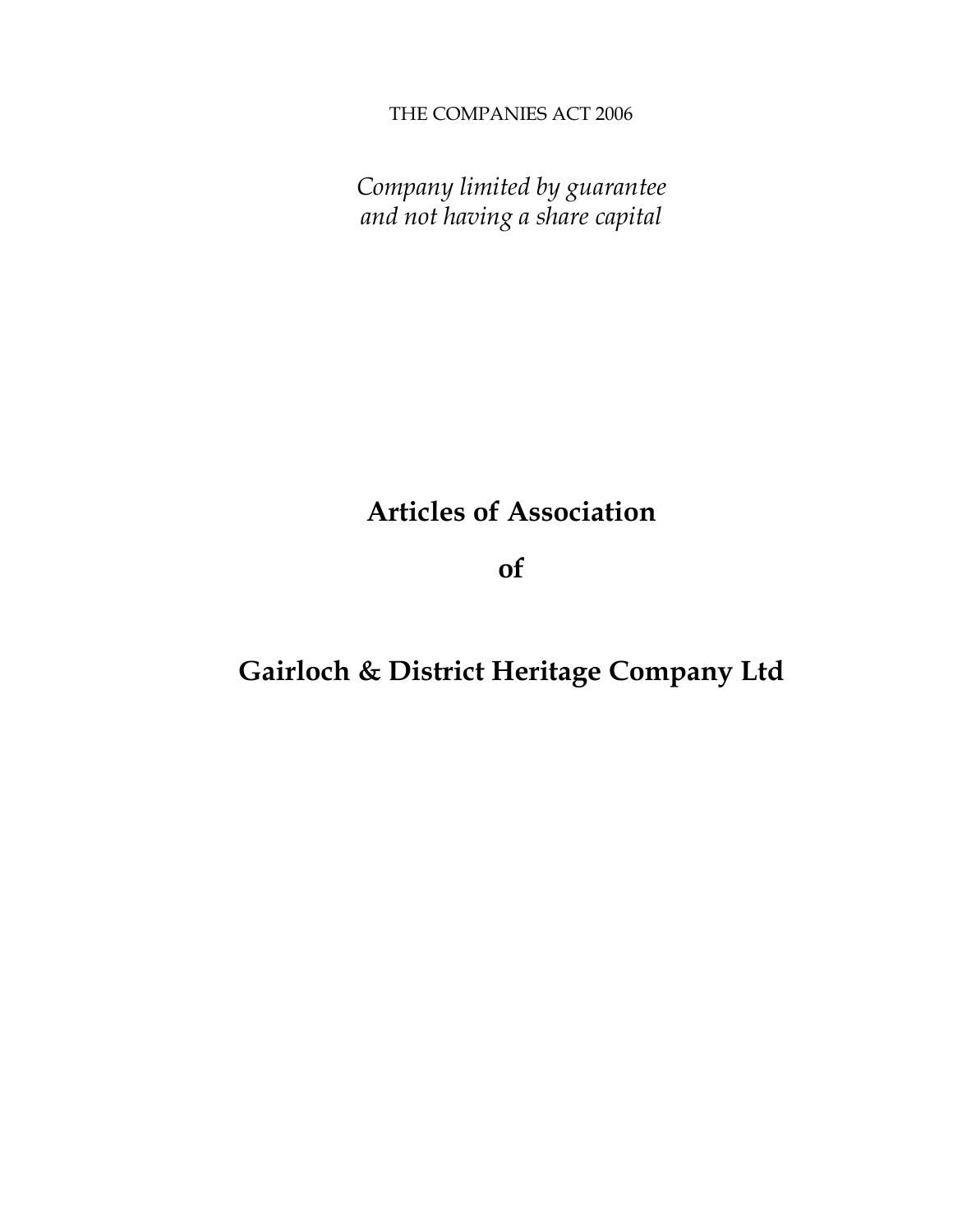THE COMPANIES ACT 2006

*Company limited by guarantee and not having a share capital*

# **Articles of Association**

**of**

## **Gairloch & District Heritage Company Ltd**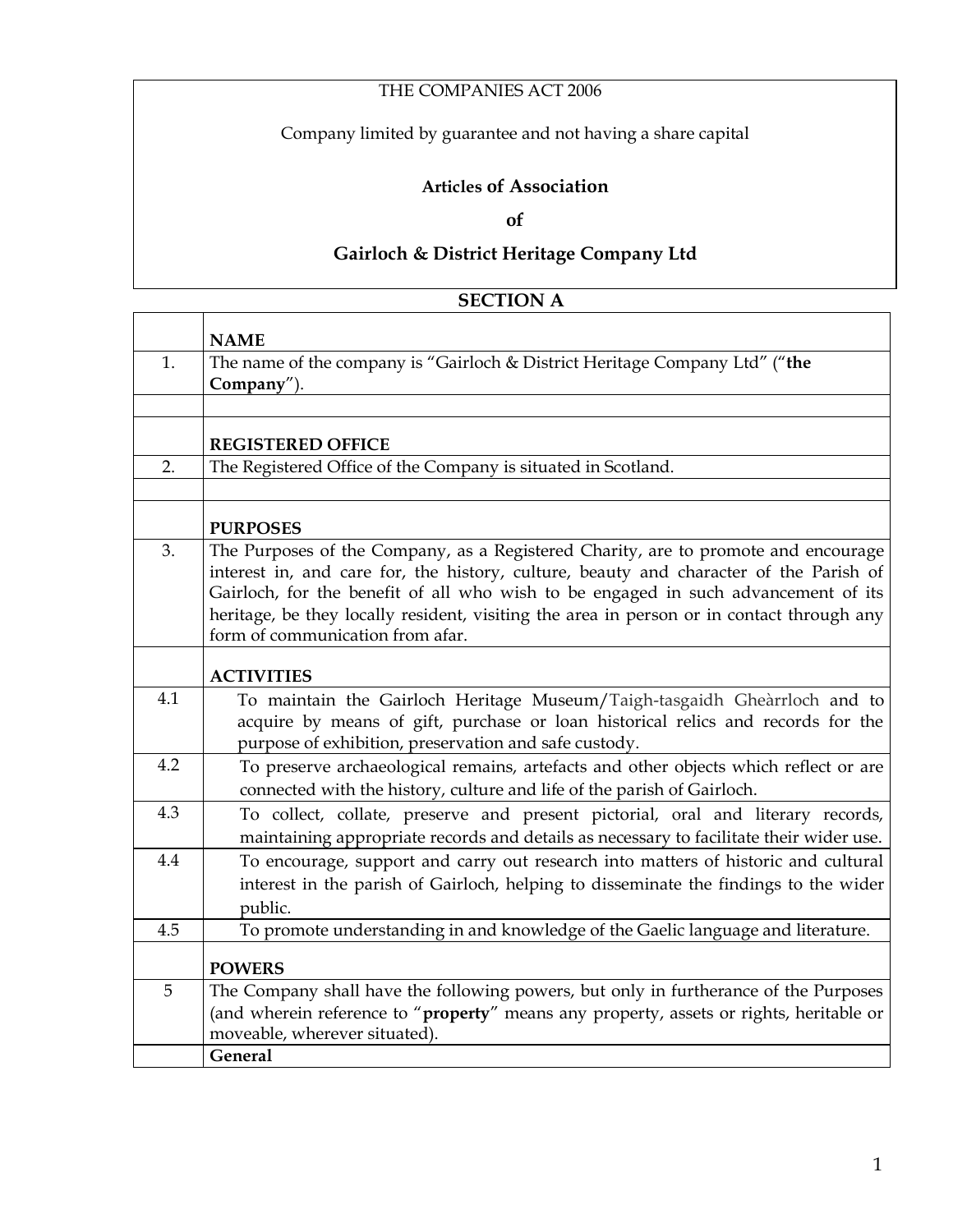### THE COMPANIES ACT 2006

Company limited by guarantee and not having a share capital

#### **Articles of Association**

**of**

### **Gairloch & District Heritage Company Ltd**

#### **SECTION A**

|     | <b>NAME</b>                                                                                                                                                                                                                                                                                                                                                                                         |
|-----|-----------------------------------------------------------------------------------------------------------------------------------------------------------------------------------------------------------------------------------------------------------------------------------------------------------------------------------------------------------------------------------------------------|
| 1.  | The name of the company is "Gairloch & District Heritage Company Ltd" ("the                                                                                                                                                                                                                                                                                                                         |
|     | Company").                                                                                                                                                                                                                                                                                                                                                                                          |
|     |                                                                                                                                                                                                                                                                                                                                                                                                     |
|     | <b>REGISTERED OFFICE</b>                                                                                                                                                                                                                                                                                                                                                                            |
| 2.  | The Registered Office of the Company is situated in Scotland.                                                                                                                                                                                                                                                                                                                                       |
|     |                                                                                                                                                                                                                                                                                                                                                                                                     |
|     | <b>PURPOSES</b>                                                                                                                                                                                                                                                                                                                                                                                     |
| 3.  | The Purposes of the Company, as a Registered Charity, are to promote and encourage<br>interest in, and care for, the history, culture, beauty and character of the Parish of<br>Gairloch, for the benefit of all who wish to be engaged in such advancement of its<br>heritage, be they locally resident, visiting the area in person or in contact through any<br>form of communication from afar. |
|     | <b>ACTIVITIES</b>                                                                                                                                                                                                                                                                                                                                                                                   |
| 4.1 | To maintain the Gairloch Heritage Museum/Taigh-tasgaidh Gheàrrloch and to<br>acquire by means of gift, purchase or loan historical relics and records for the<br>purpose of exhibition, preservation and safe custody.                                                                                                                                                                              |
| 4.2 | To preserve archaeological remains, artefacts and other objects which reflect or are<br>connected with the history, culture and life of the parish of Gairloch.                                                                                                                                                                                                                                     |
| 4.3 | To collect, collate, preserve and present pictorial, oral and literary records,<br>maintaining appropriate records and details as necessary to facilitate their wider use.                                                                                                                                                                                                                          |
| 4.4 | To encourage, support and carry out research into matters of historic and cultural<br>interest in the parish of Gairloch, helping to disseminate the findings to the wider<br>public.                                                                                                                                                                                                               |
| 4.5 | To promote understanding in and knowledge of the Gaelic language and literature.                                                                                                                                                                                                                                                                                                                    |
|     | <b>POWERS</b>                                                                                                                                                                                                                                                                                                                                                                                       |
| 5   | The Company shall have the following powers, but only in furtherance of the Purposes                                                                                                                                                                                                                                                                                                                |
|     | (and wherein reference to "property" means any property, assets or rights, heritable or                                                                                                                                                                                                                                                                                                             |
|     | moveable, wherever situated).                                                                                                                                                                                                                                                                                                                                                                       |
|     | General                                                                                                                                                                                                                                                                                                                                                                                             |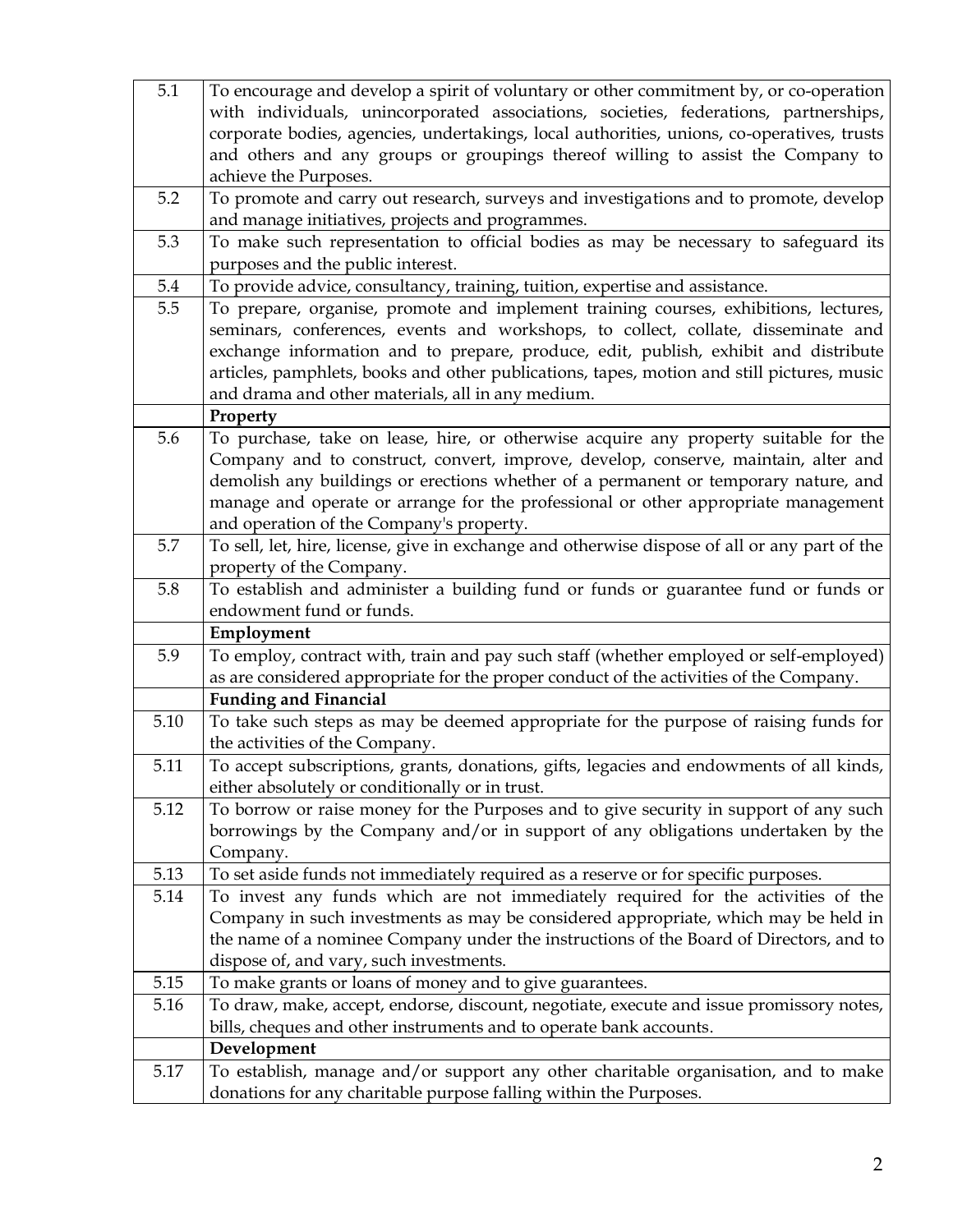| 5.1  | To encourage and develop a spirit of voluntary or other commitment by, or co-operation                         |
|------|----------------------------------------------------------------------------------------------------------------|
|      | with individuals, unincorporated associations, societies, federations, partnerships,                           |
|      | corporate bodies, agencies, undertakings, local authorities, unions, co-operatives, trusts                     |
|      | and others and any groups or groupings thereof willing to assist the Company to                                |
|      | achieve the Purposes.                                                                                          |
| 5.2  | To promote and carry out research, surveys and investigations and to promote, develop                          |
|      | and manage initiatives, projects and programmes.                                                               |
| 5.3  | To make such representation to official bodies as may be necessary to safeguard its                            |
|      | purposes and the public interest.                                                                              |
| 5.4  | To provide advice, consultancy, training, tuition, expertise and assistance.                                   |
| 5.5  | To prepare, organise, promote and implement training courses, exhibitions, lectures,                           |
|      | seminars, conferences, events and workshops, to collect, collate, disseminate and                              |
|      | exchange information and to prepare, produce, edit, publish, exhibit and distribute                            |
|      | articles, pamphlets, books and other publications, tapes, motion and still pictures, music                     |
|      | and drama and other materials, all in any medium.                                                              |
|      | Property                                                                                                       |
| 5.6  | To purchase, take on lease, hire, or otherwise acquire any property suitable for the                           |
|      | Company and to construct, convert, improve, develop, conserve, maintain, alter and                             |
|      | demolish any buildings or erections whether of a permanent or temporary nature, and                            |
|      | manage and operate or arrange for the professional or other appropriate management                             |
|      | and operation of the Company's property.                                                                       |
| 5.7  | To sell, let, hire, license, give in exchange and otherwise dispose of all or any part of the                  |
| 5.8  | property of the Company.                                                                                       |
|      | To establish and administer a building fund or funds or guarantee fund or funds or<br>endowment fund or funds. |
|      | Employment                                                                                                     |
| 5.9  | To employ, contract with, train and pay such staff (whether employed or self-employed)                         |
|      | as are considered appropriate for the proper conduct of the activities of the Company.                         |
|      | <b>Funding and Financial</b>                                                                                   |
| 5.10 | To take such steps as may be deemed appropriate for the purpose of raising funds for                           |
|      | the activities of the Company.                                                                                 |
| 5.11 | To accept subscriptions, grants, donations, gifts, legacies and endowments of all kinds,                       |
|      | either absolutely or conditionally or in trust.                                                                |
| 5.12 | To borrow or raise money for the Purposes and to give security in support of any such                          |
|      | borrowings by the Company and/or in support of any obligations undertaken by the                               |
|      | Company.                                                                                                       |
| 5.13 | To set aside funds not immediately required as a reserve or for specific purposes.                             |
| 5.14 | To invest any funds which are not immediately required for the activities of the                               |
|      | Company in such investments as may be considered appropriate, which may be held in                             |
|      | the name of a nominee Company under the instructions of the Board of Directors, and to                         |
|      | dispose of, and vary, such investments.                                                                        |
| 5.15 | To make grants or loans of money and to give guarantees.                                                       |
| 5.16 | To draw, make, accept, endorse, discount, negotiate, execute and issue promissory notes,                       |
|      | bills, cheques and other instruments and to operate bank accounts.                                             |
|      | Development                                                                                                    |
| 5.17 | To establish, manage and/or support any other charitable organisation, and to make                             |
|      | donations for any charitable purpose falling within the Purposes.                                              |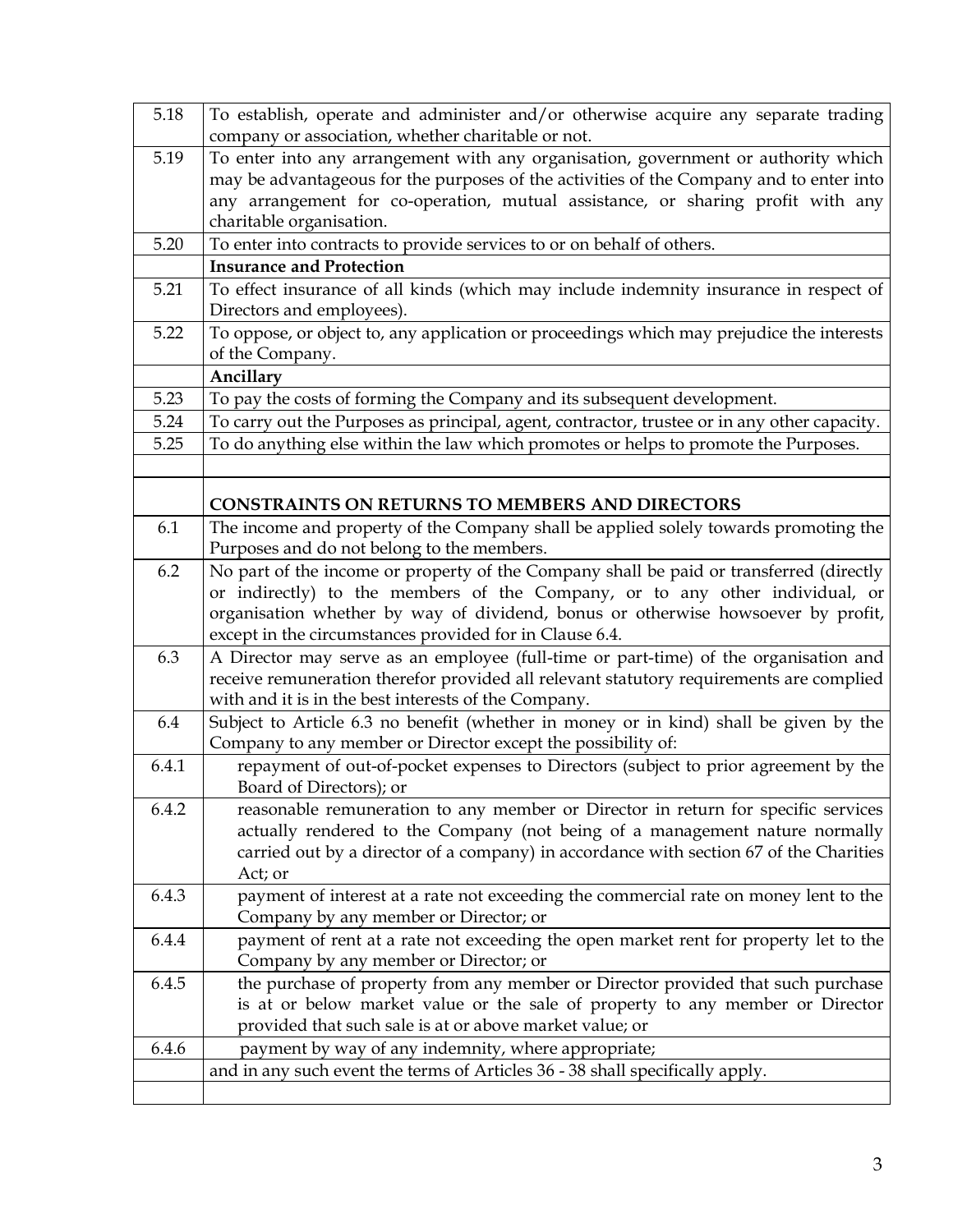| 5.18  | To establish, operate and administer and/or otherwise acquire any separate trading                                                                                      |
|-------|-------------------------------------------------------------------------------------------------------------------------------------------------------------------------|
|       | company or association, whether charitable or not.                                                                                                                      |
| 5.19  | To enter into any arrangement with any organisation, government or authority which                                                                                      |
|       | may be advantageous for the purposes of the activities of the Company and to enter into                                                                                 |
|       | any arrangement for co-operation, mutual assistance, or sharing profit with any                                                                                         |
|       | charitable organisation.                                                                                                                                                |
| 5.20  | To enter into contracts to provide services to or on behalf of others.                                                                                                  |
|       | <b>Insurance and Protection</b>                                                                                                                                         |
| 5.21  | To effect insurance of all kinds (which may include indemnity insurance in respect of                                                                                   |
|       | Directors and employees).                                                                                                                                               |
| 5.22  | To oppose, or object to, any application or proceedings which may prejudice the interests                                                                               |
|       | of the Company.                                                                                                                                                         |
|       | Ancillary                                                                                                                                                               |
| 5.23  | To pay the costs of forming the Company and its subsequent development.                                                                                                 |
| 5.24  | To carry out the Purposes as principal, agent, contractor, trustee or in any other capacity.                                                                            |
| 5.25  | To do anything else within the law which promotes or helps to promote the Purposes.                                                                                     |
|       |                                                                                                                                                                         |
|       |                                                                                                                                                                         |
|       | <b>CONSTRAINTS ON RETURNS TO MEMBERS AND DIRECTORS</b>                                                                                                                  |
| 6.1   | The income and property of the Company shall be applied solely towards promoting the<br>Purposes and do not belong to the members.                                      |
|       |                                                                                                                                                                         |
| 6.2   | No part of the income or property of the Company shall be paid or transferred (directly<br>or indirectly) to the members of the Company, or to any other individual, or |
|       |                                                                                                                                                                         |
|       | organisation whether by way of dividend, bonus or otherwise howsoever by profit,<br>except in the circumstances provided for in Clause 6.4.                             |
| 6.3   | A Director may serve as an employee (full-time or part-time) of the organisation and                                                                                    |
|       | receive remuneration therefor provided all relevant statutory requirements are complied                                                                                 |
|       | with and it is in the best interests of the Company.                                                                                                                    |
| 6.4   | Subject to Article 6.3 no benefit (whether in money or in kind) shall be given by the                                                                                   |
|       | Company to any member or Director except the possibility of:                                                                                                            |
| 6.4.1 | repayment of out-of-pocket expenses to Directors (subject to prior agreement by the                                                                                     |
|       | Board of Directors); or                                                                                                                                                 |
| 6.4.2 | reasonable remuneration to any member or Director in return for specific services                                                                                       |
|       | actually rendered to the Company (not being of a management nature normally                                                                                             |
|       | carried out by a director of a company) in accordance with section 67 of the Charities                                                                                  |
|       | Act; or                                                                                                                                                                 |
| 6.4.3 | payment of interest at a rate not exceeding the commercial rate on money lent to the                                                                                    |
|       | Company by any member or Director; or                                                                                                                                   |
| 6.4.4 | payment of rent at a rate not exceeding the open market rent for property let to the                                                                                    |
|       | Company by any member or Director; or                                                                                                                                   |
| 6.4.5 | the purchase of property from any member or Director provided that such purchase                                                                                        |
|       | is at or below market value or the sale of property to any member or Director                                                                                           |
|       | provided that such sale is at or above market value; or                                                                                                                 |
| 6.4.6 | payment by way of any indemnity, where appropriate;                                                                                                                     |
|       | and in any such event the terms of Articles 36 - 38 shall specifically apply.                                                                                           |
|       |                                                                                                                                                                         |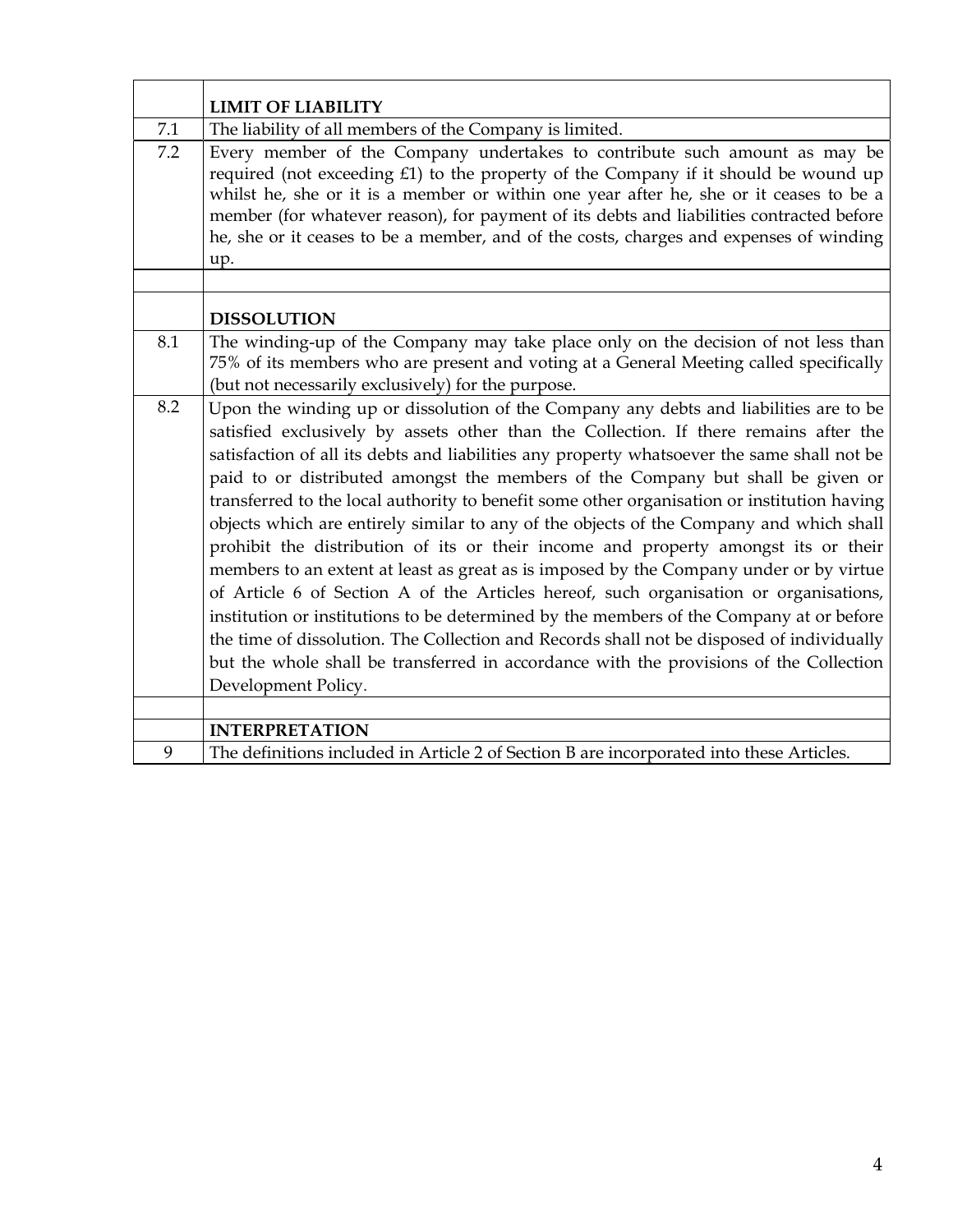|     | <b>LIMIT OF LIABILITY</b>                                                                                                                                                                                                                                                                                                                                                                                                                                                                                                                                                                                                                                                                                                                                                                                                                                                                                                                                                                                                                                                                                                                    |
|-----|----------------------------------------------------------------------------------------------------------------------------------------------------------------------------------------------------------------------------------------------------------------------------------------------------------------------------------------------------------------------------------------------------------------------------------------------------------------------------------------------------------------------------------------------------------------------------------------------------------------------------------------------------------------------------------------------------------------------------------------------------------------------------------------------------------------------------------------------------------------------------------------------------------------------------------------------------------------------------------------------------------------------------------------------------------------------------------------------------------------------------------------------|
| 7.1 | The liability of all members of the Company is limited.                                                                                                                                                                                                                                                                                                                                                                                                                                                                                                                                                                                                                                                                                                                                                                                                                                                                                                                                                                                                                                                                                      |
| 7.2 | Every member of the Company undertakes to contribute such amount as may be<br>required (not exceeding £1) to the property of the Company if it should be wound up<br>whilst he, she or it is a member or within one year after he, she or it ceases to be a<br>member (for whatever reason), for payment of its debts and liabilities contracted before<br>he, she or it ceases to be a member, and of the costs, charges and expenses of winding<br>up.                                                                                                                                                                                                                                                                                                                                                                                                                                                                                                                                                                                                                                                                                     |
|     | <b>DISSOLUTION</b>                                                                                                                                                                                                                                                                                                                                                                                                                                                                                                                                                                                                                                                                                                                                                                                                                                                                                                                                                                                                                                                                                                                           |
| 8.1 | The winding-up of the Company may take place only on the decision of not less than<br>75% of its members who are present and voting at a General Meeting called specifically<br>(but not necessarily exclusively) for the purpose.                                                                                                                                                                                                                                                                                                                                                                                                                                                                                                                                                                                                                                                                                                                                                                                                                                                                                                           |
| 8.2 | Upon the winding up or dissolution of the Company any debts and liabilities are to be<br>satisfied exclusively by assets other than the Collection. If there remains after the<br>satisfaction of all its debts and liabilities any property whatsoever the same shall not be<br>paid to or distributed amongst the members of the Company but shall be given or<br>transferred to the local authority to benefit some other organisation or institution having<br>objects which are entirely similar to any of the objects of the Company and which shall<br>prohibit the distribution of its or their income and property amongst its or their<br>members to an extent at least as great as is imposed by the Company under or by virtue<br>of Article 6 of Section A of the Articles hereof, such organisation or organisations,<br>institution or institutions to be determined by the members of the Company at or before<br>the time of dissolution. The Collection and Records shall not be disposed of individually<br>but the whole shall be transferred in accordance with the provisions of the Collection<br>Development Policy. |
|     | <b>INTERPRETATION</b>                                                                                                                                                                                                                                                                                                                                                                                                                                                                                                                                                                                                                                                                                                                                                                                                                                                                                                                                                                                                                                                                                                                        |
| 9   | The definitions included in Article 2 of Section B are incorporated into these Articles.                                                                                                                                                                                                                                                                                                                                                                                                                                                                                                                                                                                                                                                                                                                                                                                                                                                                                                                                                                                                                                                     |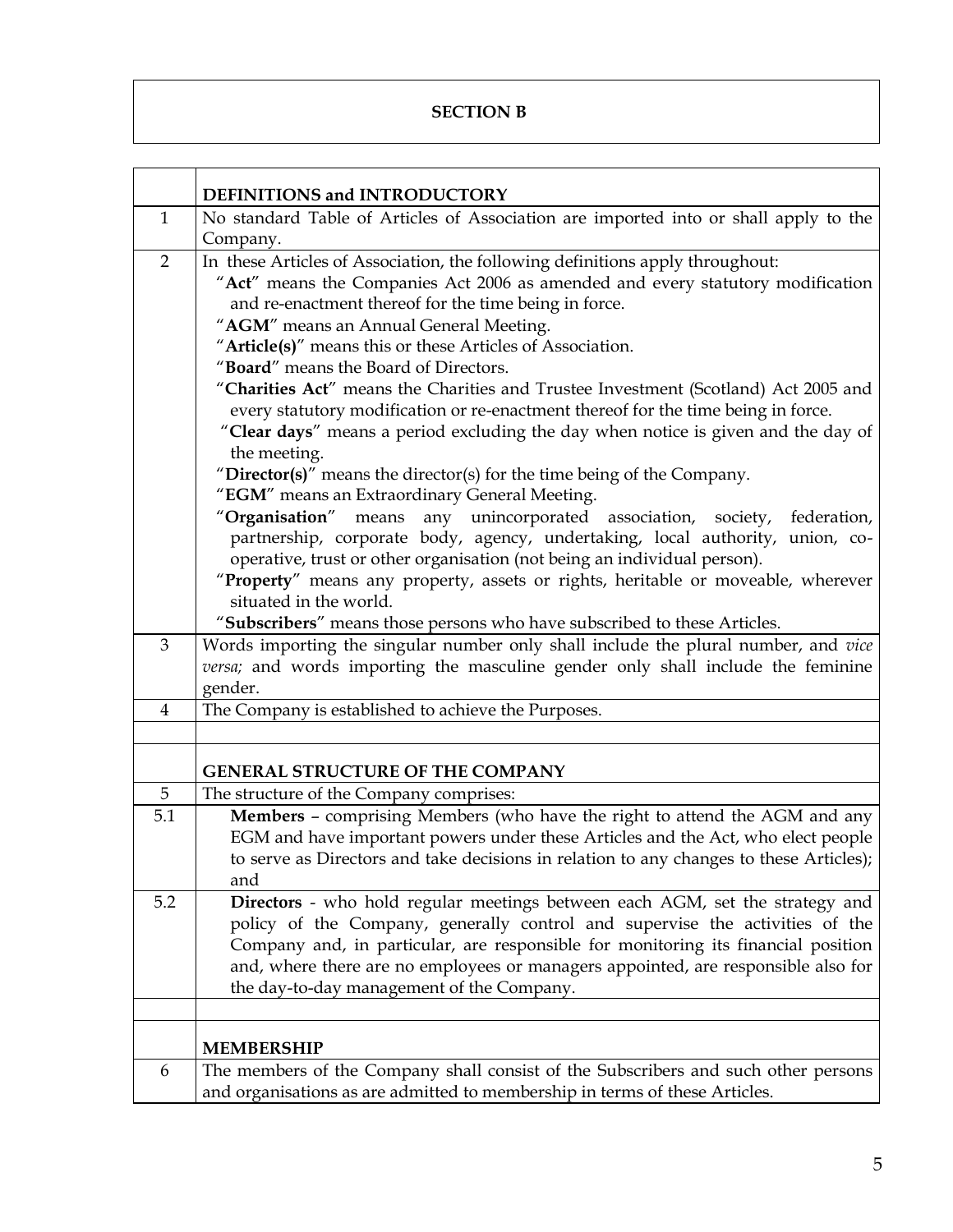#### **SECTION B**

|                | DEFINITIONS and INTRODUCTORY                                                                      |
|----------------|---------------------------------------------------------------------------------------------------|
| $\mathbf{1}$   | No standard Table of Articles of Association are imported into or shall apply to the              |
|                | Company.                                                                                          |
| $\overline{2}$ | In these Articles of Association, the following definitions apply throughout:                     |
|                | "Act" means the Companies Act 2006 as amended and every statutory modification                    |
|                | and re-enactment thereof for the time being in force.                                             |
|                | "AGM" means an Annual General Meeting.                                                            |
|                | "Article(s)" means this or these Articles of Association.                                         |
|                | "Board" means the Board of Directors.                                                             |
|                | "Charities Act" means the Charities and Trustee Investment (Scotland) Act 2005 and                |
|                | every statutory modification or re-enactment thereof for the time being in force.                 |
|                | "Clear days" means a period excluding the day when notice is given and the day of<br>the meeting. |
|                | "Director(s)" means the director(s) for the time being of the Company.                            |
|                | "EGM" means an Extraordinary General Meeting.                                                     |
|                | "Organisation" means any unincorporated association, society, federation,                         |
|                | partnership, corporate body, agency, undertaking, local authority, union, co-                     |
|                | operative, trust or other organisation (not being an individual person).                          |
|                | "Property" means any property, assets or rights, heritable or moveable, wherever                  |
|                | situated in the world.                                                                            |
|                | "Subscribers" means those persons who have subscribed to these Articles.                          |
| 3              | Words importing the singular number only shall include the plural number, and vice                |
|                | versa; and words importing the masculine gender only shall include the feminine<br>gender.        |
| $\overline{4}$ | The Company is established to achieve the Purposes.                                               |
|                |                                                                                                   |
|                |                                                                                                   |
|                | <b>GENERAL STRUCTURE OF THE COMPANY</b>                                                           |
| 5              | The structure of the Company comprises:                                                           |
| 5.1            | Members - comprising Members (who have the right to attend the AGM and any                        |
|                | EGM and have important powers under these Articles and the Act, who elect people                  |
|                | to serve as Directors and take decisions in relation to any changes to these Articles);           |
|                | and                                                                                               |
| 5.2            | Directors - who hold regular meetings between each AGM, set the strategy and                      |
|                | policy of the Company, generally control and supervise the activities of the                      |
|                | Company and, in particular, are responsible for monitoring its financial position                 |
|                | and, where there are no employees or managers appointed, are responsible also for                 |
|                | the day-to-day management of the Company.                                                         |
|                |                                                                                                   |
|                | <b>MEMBERSHIP</b>                                                                                 |
|                |                                                                                                   |
| 6              | The members of the Company shall consist of the Subscribers and such other persons                |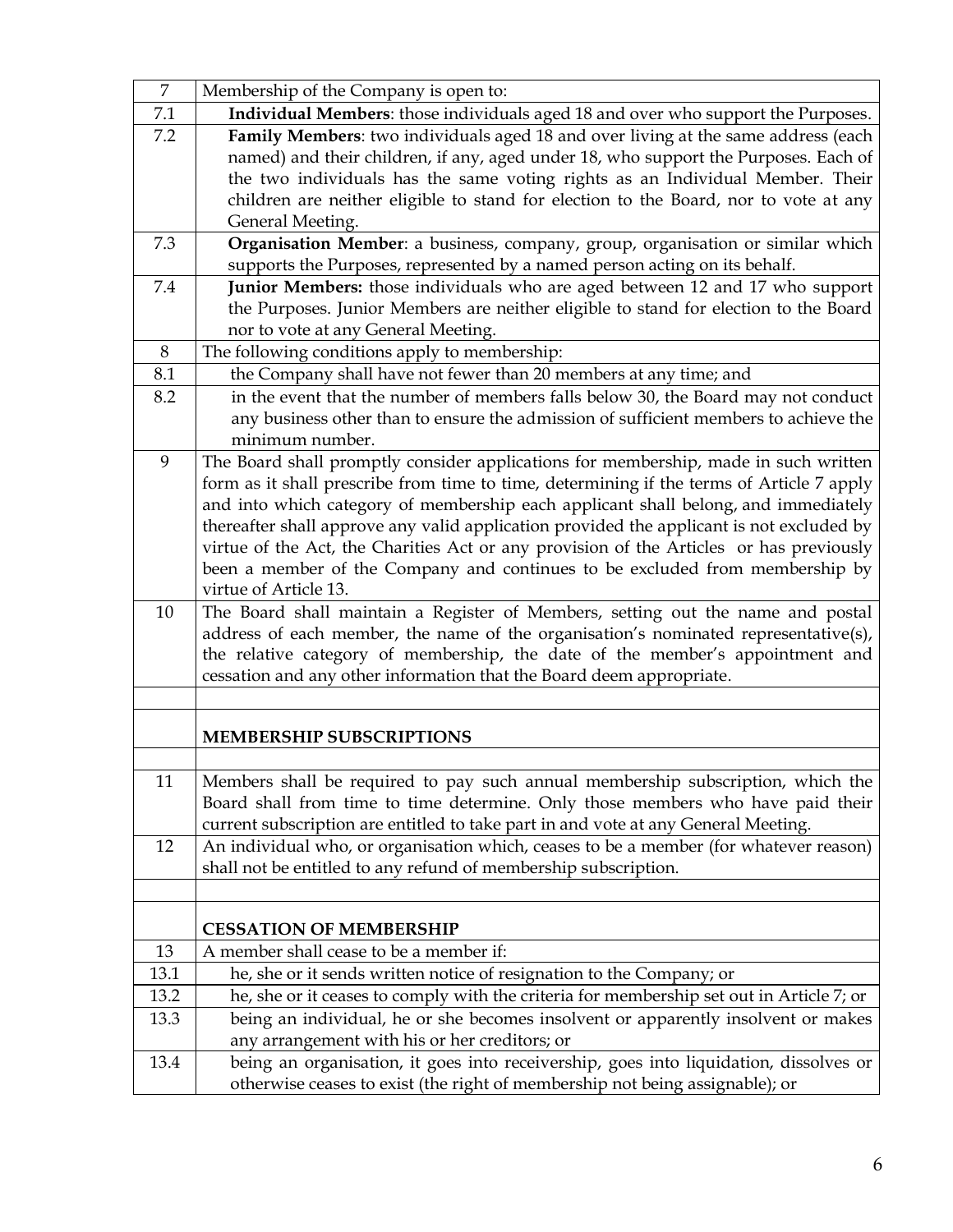| $\overline{7}$ | Membership of the Company is open to:                                                                                                                                                                                                                                                                                                                                                                                                                                                                                                                                  |
|----------------|------------------------------------------------------------------------------------------------------------------------------------------------------------------------------------------------------------------------------------------------------------------------------------------------------------------------------------------------------------------------------------------------------------------------------------------------------------------------------------------------------------------------------------------------------------------------|
| 7.1            | Individual Members: those individuals aged 18 and over who support the Purposes.                                                                                                                                                                                                                                                                                                                                                                                                                                                                                       |
| 7.2            | Family Members: two individuals aged 18 and over living at the same address (each                                                                                                                                                                                                                                                                                                                                                                                                                                                                                      |
|                | named) and their children, if any, aged under 18, who support the Purposes. Each of                                                                                                                                                                                                                                                                                                                                                                                                                                                                                    |
|                | the two individuals has the same voting rights as an Individual Member. Their                                                                                                                                                                                                                                                                                                                                                                                                                                                                                          |
|                | children are neither eligible to stand for election to the Board, nor to vote at any                                                                                                                                                                                                                                                                                                                                                                                                                                                                                   |
|                | General Meeting.                                                                                                                                                                                                                                                                                                                                                                                                                                                                                                                                                       |
| 7.3            | Organisation Member: a business, company, group, organisation or similar which                                                                                                                                                                                                                                                                                                                                                                                                                                                                                         |
|                | supports the Purposes, represented by a named person acting on its behalf.                                                                                                                                                                                                                                                                                                                                                                                                                                                                                             |
| 7.4            | Junior Members: those individuals who are aged between 12 and 17 who support                                                                                                                                                                                                                                                                                                                                                                                                                                                                                           |
|                | the Purposes. Junior Members are neither eligible to stand for election to the Board                                                                                                                                                                                                                                                                                                                                                                                                                                                                                   |
|                | nor to vote at any General Meeting.                                                                                                                                                                                                                                                                                                                                                                                                                                                                                                                                    |
| 8              | The following conditions apply to membership:                                                                                                                                                                                                                                                                                                                                                                                                                                                                                                                          |
| 8.1            | the Company shall have not fewer than 20 members at any time; and                                                                                                                                                                                                                                                                                                                                                                                                                                                                                                      |
| 8.2            | in the event that the number of members falls below 30, the Board may not conduct<br>any business other than to ensure the admission of sufficient members to achieve the<br>minimum number.                                                                                                                                                                                                                                                                                                                                                                           |
| 9              | The Board shall promptly consider applications for membership, made in such written<br>form as it shall prescribe from time to time, determining if the terms of Article 7 apply<br>and into which category of membership each applicant shall belong, and immediately<br>thereafter shall approve any valid application provided the applicant is not excluded by<br>virtue of the Act, the Charities Act or any provision of the Articles or has previously<br>been a member of the Company and continues to be excluded from membership by<br>virtue of Article 13. |
| 10             | The Board shall maintain a Register of Members, setting out the name and postal<br>address of each member, the name of the organisation's nominated representative(s),<br>the relative category of membership, the date of the member's appointment and<br>cessation and any other information that the Board deem appropriate.                                                                                                                                                                                                                                        |
|                | <b>MEMBERSHIP SUBSCRIPTIONS</b>                                                                                                                                                                                                                                                                                                                                                                                                                                                                                                                                        |
|                |                                                                                                                                                                                                                                                                                                                                                                                                                                                                                                                                                                        |
| 11             | Members shall be required to pay such annual membership subscription, which the<br>Board shall from time to time determine. Only those members who have paid their<br>current subscription are entitled to take part in and vote at any General Meeting.                                                                                                                                                                                                                                                                                                               |
| 12             | An individual who, or organisation which, ceases to be a member (for whatever reason)<br>shall not be entitled to any refund of membership subscription.                                                                                                                                                                                                                                                                                                                                                                                                               |
|                |                                                                                                                                                                                                                                                                                                                                                                                                                                                                                                                                                                        |
|                | <b>CESSATION OF MEMBERSHIP</b>                                                                                                                                                                                                                                                                                                                                                                                                                                                                                                                                         |
| 13             | A member shall cease to be a member if:                                                                                                                                                                                                                                                                                                                                                                                                                                                                                                                                |
| 13.1           | he, she or it sends written notice of resignation to the Company; or                                                                                                                                                                                                                                                                                                                                                                                                                                                                                                   |
| 13.2           | he, she or it ceases to comply with the criteria for membership set out in Article 7; or                                                                                                                                                                                                                                                                                                                                                                                                                                                                               |
| 13.3           | being an individual, he or she becomes insolvent or apparently insolvent or makes                                                                                                                                                                                                                                                                                                                                                                                                                                                                                      |
|                | any arrangement with his or her creditors; or                                                                                                                                                                                                                                                                                                                                                                                                                                                                                                                          |
| 13.4           | being an organisation, it goes into receivership, goes into liquidation, dissolves or                                                                                                                                                                                                                                                                                                                                                                                                                                                                                  |
|                | otherwise ceases to exist (the right of membership not being assignable); or                                                                                                                                                                                                                                                                                                                                                                                                                                                                                           |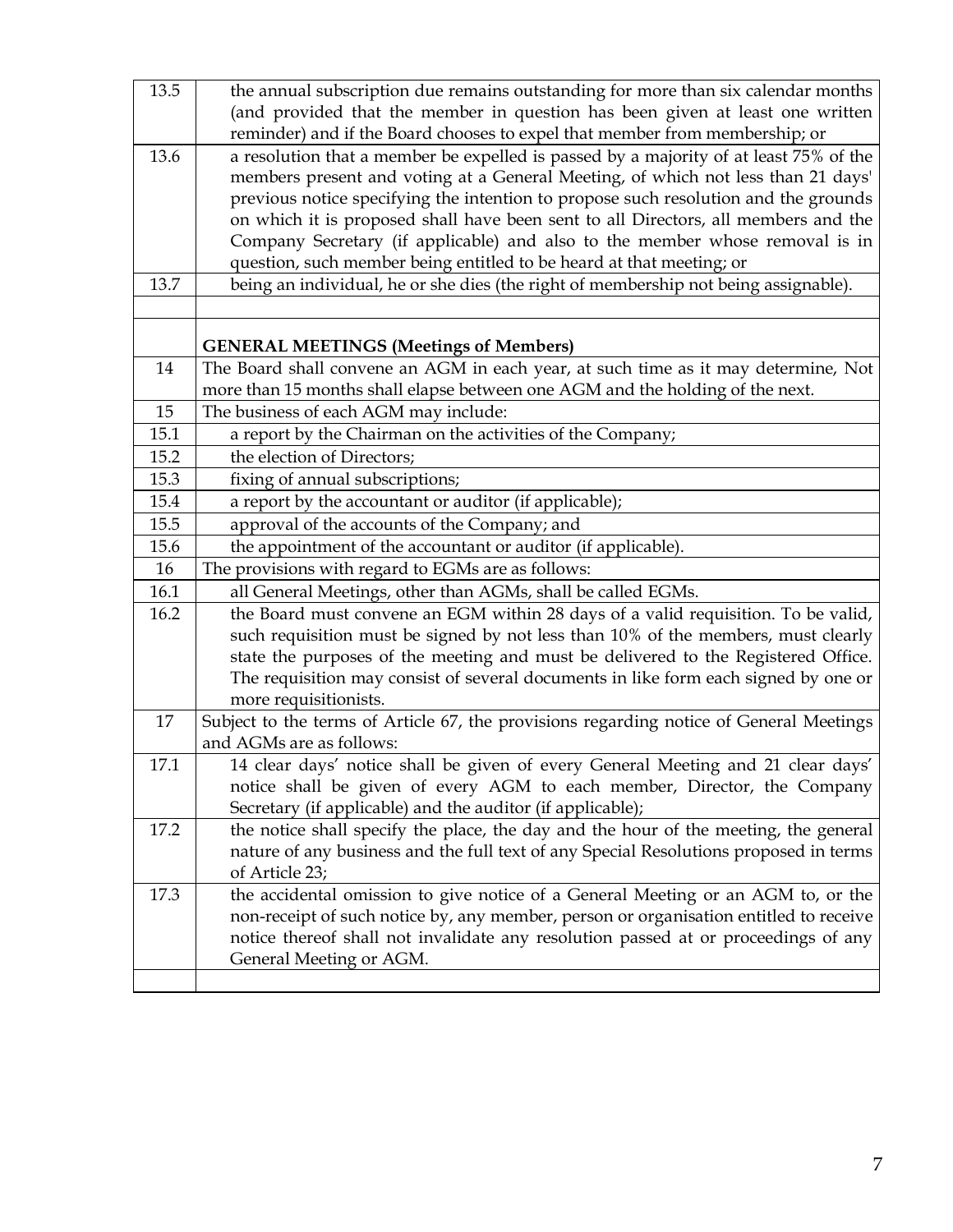| 13.5 | the annual subscription due remains outstanding for more than six calendar months<br>(and provided that the member in question has been given at least one written |
|------|--------------------------------------------------------------------------------------------------------------------------------------------------------------------|
|      | reminder) and if the Board chooses to expel that member from membership; or                                                                                        |
| 13.6 | a resolution that a member be expelled is passed by a majority of at least 75% of the                                                                              |
|      | members present and voting at a General Meeting, of which not less than 21 days'                                                                                   |
|      | previous notice specifying the intention to propose such resolution and the grounds                                                                                |
|      | on which it is proposed shall have been sent to all Directors, all members and the                                                                                 |
|      | Company Secretary (if applicable) and also to the member whose removal is in                                                                                       |
|      | question, such member being entitled to be heard at that meeting; or                                                                                               |
| 13.7 | being an individual, he or she dies (the right of membership not being assignable).                                                                                |
|      |                                                                                                                                                                    |
|      | <b>GENERAL MEETINGS (Meetings of Members)</b>                                                                                                                      |
| 14   | The Board shall convene an AGM in each year, at such time as it may determine, Not                                                                                 |
|      | more than 15 months shall elapse between one AGM and the holding of the next.                                                                                      |
| 15   | The business of each AGM may include:                                                                                                                              |
| 15.1 | a report by the Chairman on the activities of the Company;                                                                                                         |
| 15.2 | the election of Directors;                                                                                                                                         |
| 15.3 | fixing of annual subscriptions;                                                                                                                                    |
| 15.4 | a report by the accountant or auditor (if applicable);                                                                                                             |
| 15.5 | approval of the accounts of the Company; and                                                                                                                       |
| 15.6 | the appointment of the accountant or auditor (if applicable).                                                                                                      |
| 16   | The provisions with regard to EGMs are as follows:                                                                                                                 |
| 16.1 | all General Meetings, other than AGMs, shall be called EGMs.                                                                                                       |
| 16.2 | the Board must convene an EGM within 28 days of a valid requisition. To be valid,                                                                                  |
|      | such requisition must be signed by not less than 10% of the members, must clearly                                                                                  |
|      | state the purposes of the meeting and must be delivered to the Registered Office.                                                                                  |
|      | The requisition may consist of several documents in like form each signed by one or                                                                                |
|      | more requisitionists.                                                                                                                                              |
| 17   | Subject to the terms of Article 67, the provisions regarding notice of General Meetings                                                                            |
|      | and AGMs are as follows:                                                                                                                                           |
| 17.1 | 14 clear days' notice shall be given of every General Meeting and 21 clear days'                                                                                   |
|      | notice shall be given of every AGM to each member, Director, the Company                                                                                           |
|      | Secretary (if applicable) and the auditor (if applicable);                                                                                                         |
| 17.2 | the notice shall specify the place, the day and the hour of the meeting, the general                                                                               |
|      | nature of any business and the full text of any Special Resolutions proposed in terms                                                                              |
|      | of Article 23;                                                                                                                                                     |
| 17.3 | the accidental omission to give notice of a General Meeting or an AGM to, or the                                                                                   |
|      | non-receipt of such notice by, any member, person or organisation entitled to receive                                                                              |
|      | notice thereof shall not invalidate any resolution passed at or proceedings of any                                                                                 |
|      | General Meeting or AGM.                                                                                                                                            |
|      |                                                                                                                                                                    |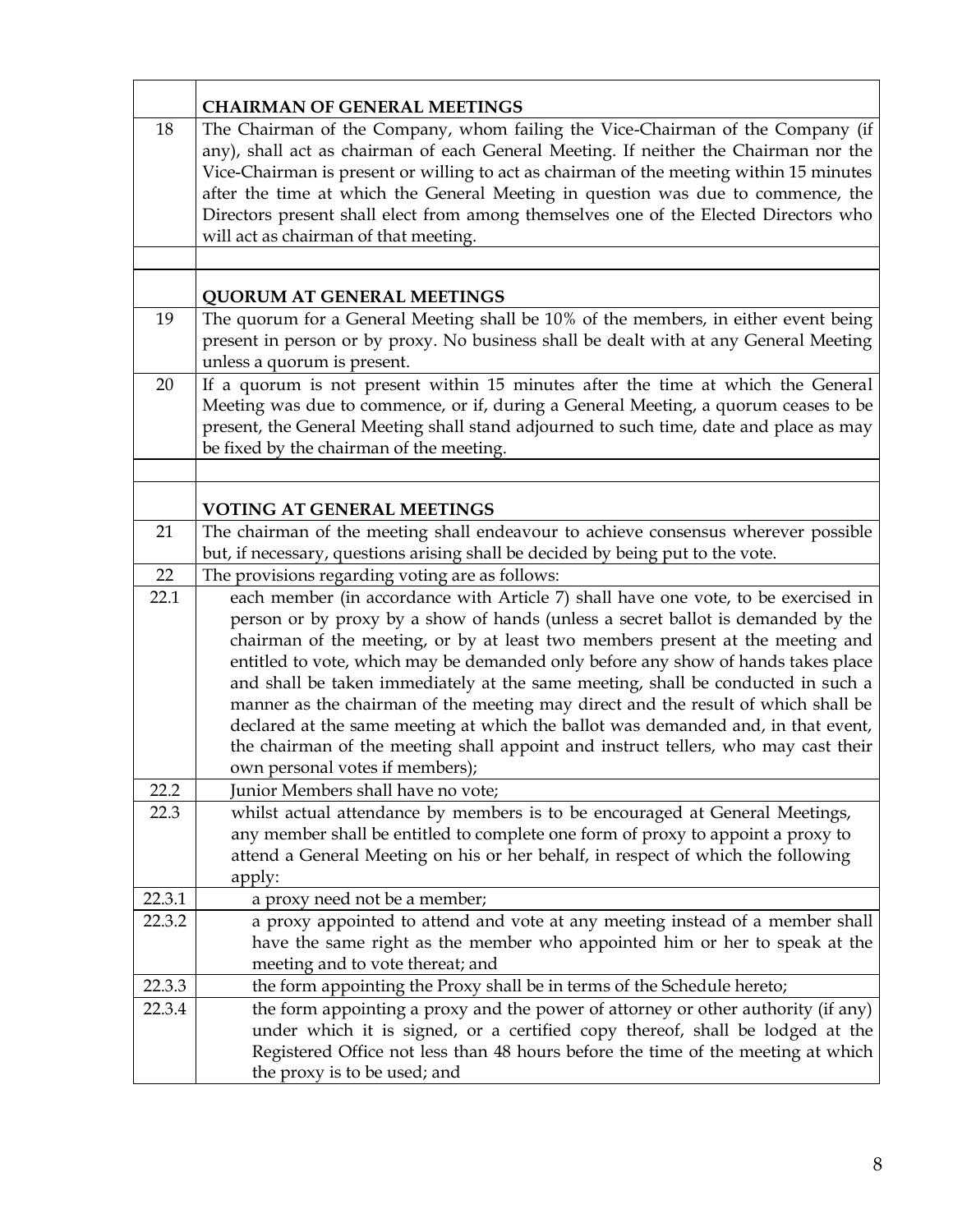|        | <b>CHAIRMAN OF GENERAL MEETINGS</b>                                                                                                                                                                                                                                                                                                                                                                                                                                                                                                                                                                                                                                                                                                  |
|--------|--------------------------------------------------------------------------------------------------------------------------------------------------------------------------------------------------------------------------------------------------------------------------------------------------------------------------------------------------------------------------------------------------------------------------------------------------------------------------------------------------------------------------------------------------------------------------------------------------------------------------------------------------------------------------------------------------------------------------------------|
| 18     | The Chairman of the Company, whom failing the Vice-Chairman of the Company (if<br>any), shall act as chairman of each General Meeting. If neither the Chairman nor the<br>Vice-Chairman is present or willing to act as chairman of the meeting within 15 minutes<br>after the time at which the General Meeting in question was due to commence, the<br>Directors present shall elect from among themselves one of the Elected Directors who<br>will act as chairman of that meeting.                                                                                                                                                                                                                                               |
|        |                                                                                                                                                                                                                                                                                                                                                                                                                                                                                                                                                                                                                                                                                                                                      |
|        | <b>QUORUM AT GENERAL MEETINGS</b>                                                                                                                                                                                                                                                                                                                                                                                                                                                                                                                                                                                                                                                                                                    |
| 19     | The quorum for a General Meeting shall be 10% of the members, in either event being<br>present in person or by proxy. No business shall be dealt with at any General Meeting<br>unless a quorum is present.                                                                                                                                                                                                                                                                                                                                                                                                                                                                                                                          |
| 20     | If a quorum is not present within 15 minutes after the time at which the General<br>Meeting was due to commence, or if, during a General Meeting, a quorum ceases to be<br>present, the General Meeting shall stand adjourned to such time, date and place as may<br>be fixed by the chairman of the meeting.                                                                                                                                                                                                                                                                                                                                                                                                                        |
|        | <b>VOTING AT GENERAL MEETINGS</b>                                                                                                                                                                                                                                                                                                                                                                                                                                                                                                                                                                                                                                                                                                    |
| 21     | The chairman of the meeting shall endeavour to achieve consensus wherever possible<br>but, if necessary, questions arising shall be decided by being put to the vote.                                                                                                                                                                                                                                                                                                                                                                                                                                                                                                                                                                |
| 22     | The provisions regarding voting are as follows:                                                                                                                                                                                                                                                                                                                                                                                                                                                                                                                                                                                                                                                                                      |
| 22.1   | each member (in accordance with Article 7) shall have one vote, to be exercised in<br>person or by proxy by a show of hands (unless a secret ballot is demanded by the<br>chairman of the meeting, or by at least two members present at the meeting and<br>entitled to vote, which may be demanded only before any show of hands takes place<br>and shall be taken immediately at the same meeting, shall be conducted in such a<br>manner as the chairman of the meeting may direct and the result of which shall be<br>declared at the same meeting at which the ballot was demanded and, in that event,<br>the chairman of the meeting shall appoint and instruct tellers, who may cast their<br>own personal votes if members); |
| 22.2   | Junior Members shall have no vote;                                                                                                                                                                                                                                                                                                                                                                                                                                                                                                                                                                                                                                                                                                   |
| 22.3   | whilst actual attendance by members is to be encouraged at General Meetings,<br>any member shall be entitled to complete one form of proxy to appoint a proxy to<br>attend a General Meeting on his or her behalf, in respect of which the following<br>apply:                                                                                                                                                                                                                                                                                                                                                                                                                                                                       |
| 22.3.1 | a proxy need not be a member;                                                                                                                                                                                                                                                                                                                                                                                                                                                                                                                                                                                                                                                                                                        |
| 22.3.2 | a proxy appointed to attend and vote at any meeting instead of a member shall<br>have the same right as the member who appointed him or her to speak at the<br>meeting and to vote thereat; and                                                                                                                                                                                                                                                                                                                                                                                                                                                                                                                                      |
| 22.3.3 | the form appointing the Proxy shall be in terms of the Schedule hereto;                                                                                                                                                                                                                                                                                                                                                                                                                                                                                                                                                                                                                                                              |
| 22.3.4 | the form appointing a proxy and the power of attorney or other authority (if any)<br>under which it is signed, or a certified copy thereof, shall be lodged at the<br>Registered Office not less than 48 hours before the time of the meeting at which<br>the proxy is to be used; and                                                                                                                                                                                                                                                                                                                                                                                                                                               |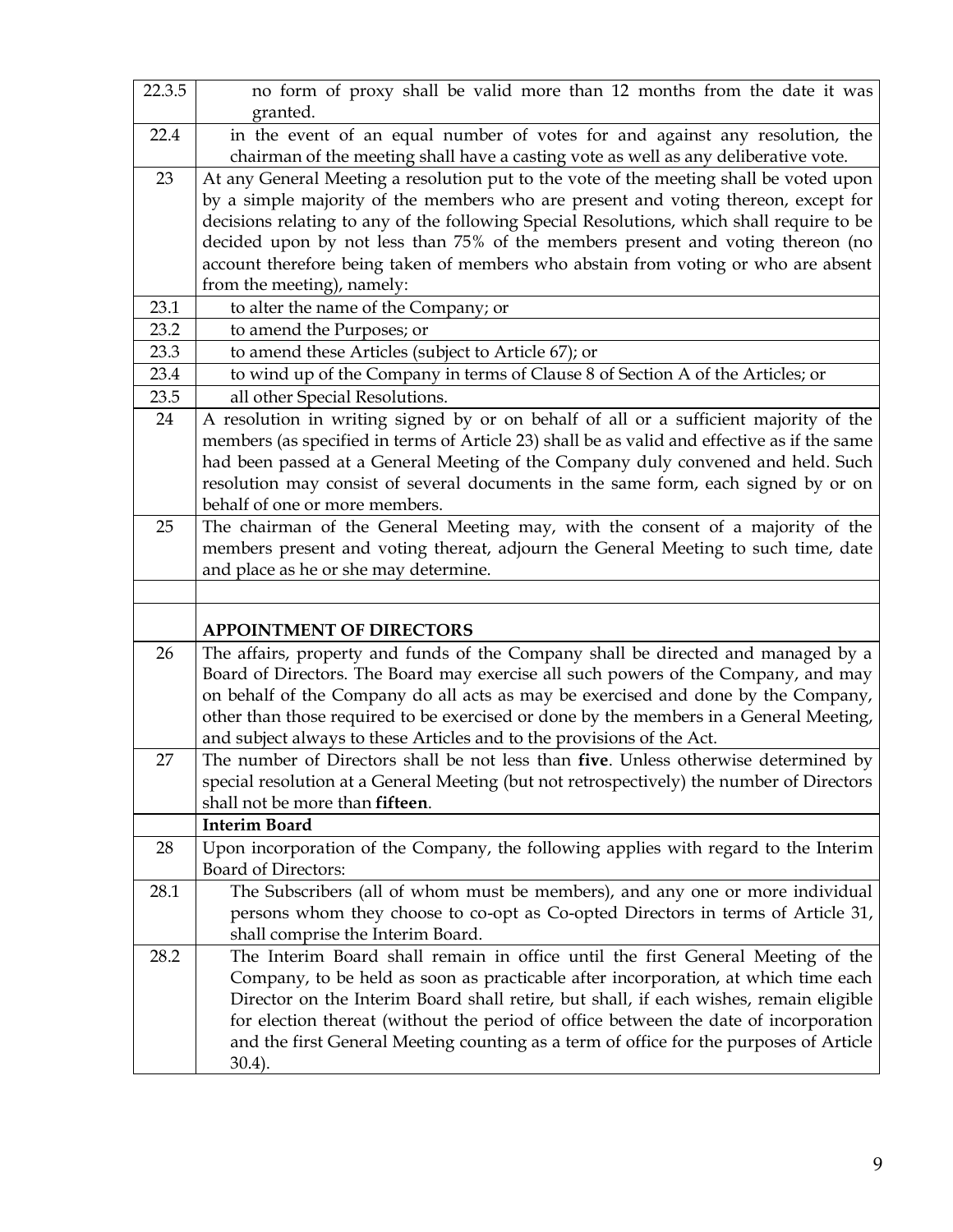| 22.3.5 | no form of proxy shall be valid more than 12 months from the date it was                                                                                                       |
|--------|--------------------------------------------------------------------------------------------------------------------------------------------------------------------------------|
|        | granted.                                                                                                                                                                       |
| 22.4   | in the event of an equal number of votes for and against any resolution, the                                                                                                   |
|        | chairman of the meeting shall have a casting vote as well as any deliberative vote.                                                                                            |
| 23     | At any General Meeting a resolution put to the vote of the meeting shall be voted upon                                                                                         |
|        | by a simple majority of the members who are present and voting thereon, except for                                                                                             |
|        | decisions relating to any of the following Special Resolutions, which shall require to be                                                                                      |
|        | decided upon by not less than 75% of the members present and voting thereon (no                                                                                                |
|        | account therefore being taken of members who abstain from voting or who are absent                                                                                             |
|        | from the meeting), namely:                                                                                                                                                     |
| 23.1   | to alter the name of the Company; or                                                                                                                                           |
| 23.2   | to amend the Purposes; or                                                                                                                                                      |
| 23.3   | to amend these Articles (subject to Article 67); or                                                                                                                            |
| 23.4   | to wind up of the Company in terms of Clause 8 of Section A of the Articles; or                                                                                                |
| 23.5   | all other Special Resolutions.                                                                                                                                                 |
| 24     | A resolution in writing signed by or on behalf of all or a sufficient majority of the                                                                                          |
|        | members (as specified in terms of Article 23) shall be as valid and effective as if the same                                                                                   |
|        | had been passed at a General Meeting of the Company duly convened and held. Such                                                                                               |
|        | resolution may consist of several documents in the same form, each signed by or on<br>behalf of one or more members.                                                           |
| 25     |                                                                                                                                                                                |
|        | The chairman of the General Meeting may, with the consent of a majority of the                                                                                                 |
|        | members present and voting thereat, adjourn the General Meeting to such time, date<br>and place as he or she may determine.                                                    |
|        |                                                                                                                                                                                |
|        |                                                                                                                                                                                |
|        | <b>APPOINTMENT OF DIRECTORS</b>                                                                                                                                                |
| 26     | The affairs, property and funds of the Company shall be directed and managed by a                                                                                              |
|        | Board of Directors. The Board may exercise all such powers of the Company, and may                                                                                             |
|        | on behalf of the Company do all acts as may be exercised and done by the Company,                                                                                              |
|        | other than those required to be exercised or done by the members in a General Meeting,                                                                                         |
|        | and subject always to these Articles and to the provisions of the Act.                                                                                                         |
| 27     | The number of Directors shall be not less than five. Unless otherwise determined by                                                                                            |
|        | special resolution at a General Meeting (but not retrospectively) the number of Directors<br>shall not be more than fifteen.                                                   |
|        | <b>Interim Board</b>                                                                                                                                                           |
| 28     | Upon incorporation of the Company, the following applies with regard to the Interim                                                                                            |
|        | Board of Directors:                                                                                                                                                            |
| 28.1   | The Subscribers (all of whom must be members), and any one or more individual                                                                                                  |
|        | persons whom they choose to co-opt as Co-opted Directors in terms of Article 31,                                                                                               |
|        | shall comprise the Interim Board.                                                                                                                                              |
| 28.2   | The Interim Board shall remain in office until the first General Meeting of the                                                                                                |
|        |                                                                                                                                                                                |
|        |                                                                                                                                                                                |
|        | Company, to be held as soon as practicable after incorporation, at which time each                                                                                             |
|        | Director on the Interim Board shall retire, but shall, if each wishes, remain eligible                                                                                         |
|        | for election thereat (without the period of office between the date of incorporation<br>and the first General Meeting counting as a term of office for the purposes of Article |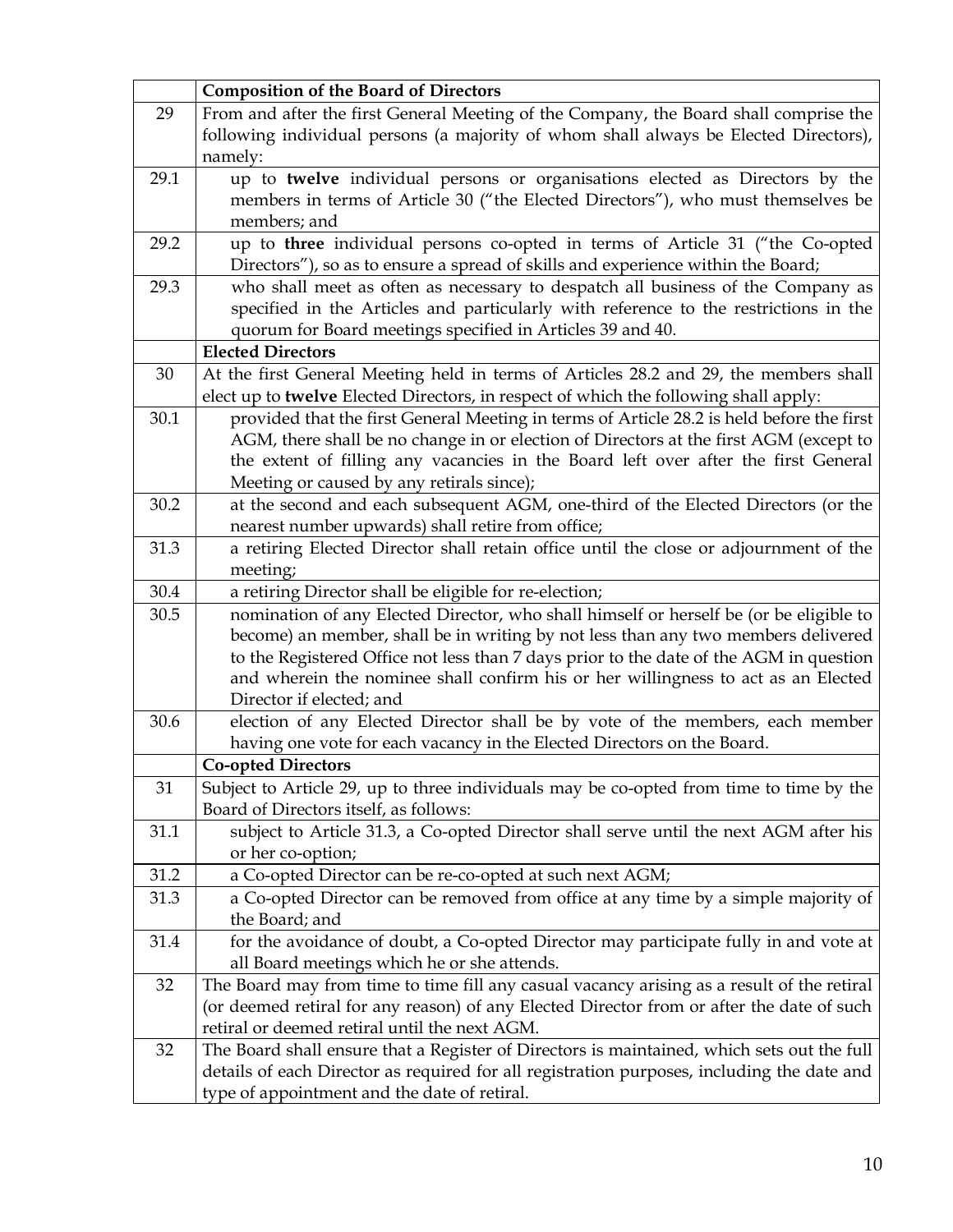|      | <b>Composition of the Board of Directors</b>                                                                                                                                |
|------|-----------------------------------------------------------------------------------------------------------------------------------------------------------------------------|
| 29   | From and after the first General Meeting of the Company, the Board shall comprise the                                                                                       |
|      | following individual persons (a majority of whom shall always be Elected Directors),                                                                                        |
|      | namely:                                                                                                                                                                     |
| 29.1 | up to twelve individual persons or organisations elected as Directors by the                                                                                                |
|      | members in terms of Article 30 ("the Elected Directors"), who must themselves be                                                                                            |
|      | members; and                                                                                                                                                                |
| 29.2 | up to three individual persons co-opted in terms of Article 31 ("the Co-opted                                                                                               |
|      | Directors"), so as to ensure a spread of skills and experience within the Board;                                                                                            |
| 29.3 | who shall meet as often as necessary to despatch all business of the Company as                                                                                             |
|      | specified in the Articles and particularly with reference to the restrictions in the                                                                                        |
|      | quorum for Board meetings specified in Articles 39 and 40.                                                                                                                  |
|      | <b>Elected Directors</b>                                                                                                                                                    |
| 30   | At the first General Meeting held in terms of Articles 28.2 and 29, the members shall                                                                                       |
|      | elect up to twelve Elected Directors, in respect of which the following shall apply:                                                                                        |
| 30.1 | provided that the first General Meeting in terms of Article 28.2 is held before the first                                                                                   |
|      | AGM, there shall be no change in or election of Directors at the first AGM (except to                                                                                       |
|      | the extent of filling any vacancies in the Board left over after the first General                                                                                          |
|      | Meeting or caused by any retirals since);                                                                                                                                   |
| 30.2 | at the second and each subsequent AGM, one-third of the Elected Directors (or the                                                                                           |
|      | nearest number upwards) shall retire from office;                                                                                                                           |
| 31.3 | a retiring Elected Director shall retain office until the close or adjournment of the                                                                                       |
|      | meeting;                                                                                                                                                                    |
| 30.4 | a retiring Director shall be eligible for re-election;                                                                                                                      |
| 30.5 | nomination of any Elected Director, who shall himself or herself be (or be eligible to<br>become) an member, shall be in writing by not less than any two members delivered |
|      | to the Registered Office not less than 7 days prior to the date of the AGM in question                                                                                      |
|      | and wherein the nominee shall confirm his or her willingness to act as an Elected                                                                                           |
|      | Director if elected; and                                                                                                                                                    |
| 30.6 | election of any Elected Director shall be by vote of the members, each member                                                                                               |
|      | having one vote for each vacancy in the Elected Directors on the Board.                                                                                                     |
|      | <b>Co-opted Directors</b>                                                                                                                                                   |
| 31   | Subject to Article 29, up to three individuals may be co-opted from time to time by the                                                                                     |
|      | Board of Directors itself, as follows:                                                                                                                                      |
| 31.1 | subject to Article 31.3, a Co-opted Director shall serve until the next AGM after his                                                                                       |
|      | or her co-option;                                                                                                                                                           |
| 31.2 | a Co-opted Director can be re-co-opted at such next AGM;                                                                                                                    |
| 31.3 | a Co-opted Director can be removed from office at any time by a simple majority of                                                                                          |
|      | the Board; and                                                                                                                                                              |
| 31.4 | for the avoidance of doubt, a Co-opted Director may participate fully in and vote at                                                                                        |
|      | all Board meetings which he or she attends.                                                                                                                                 |
| 32   | The Board may from time to time fill any casual vacancy arising as a result of the retiral                                                                                  |
|      | (or deemed retiral for any reason) of any Elected Director from or after the date of such                                                                                   |
|      | retiral or deemed retiral until the next AGM.                                                                                                                               |
| 32   | The Board shall ensure that a Register of Directors is maintained, which sets out the full                                                                                  |
|      | details of each Director as required for all registration purposes, including the date and                                                                                  |
|      | type of appointment and the date of retiral.                                                                                                                                |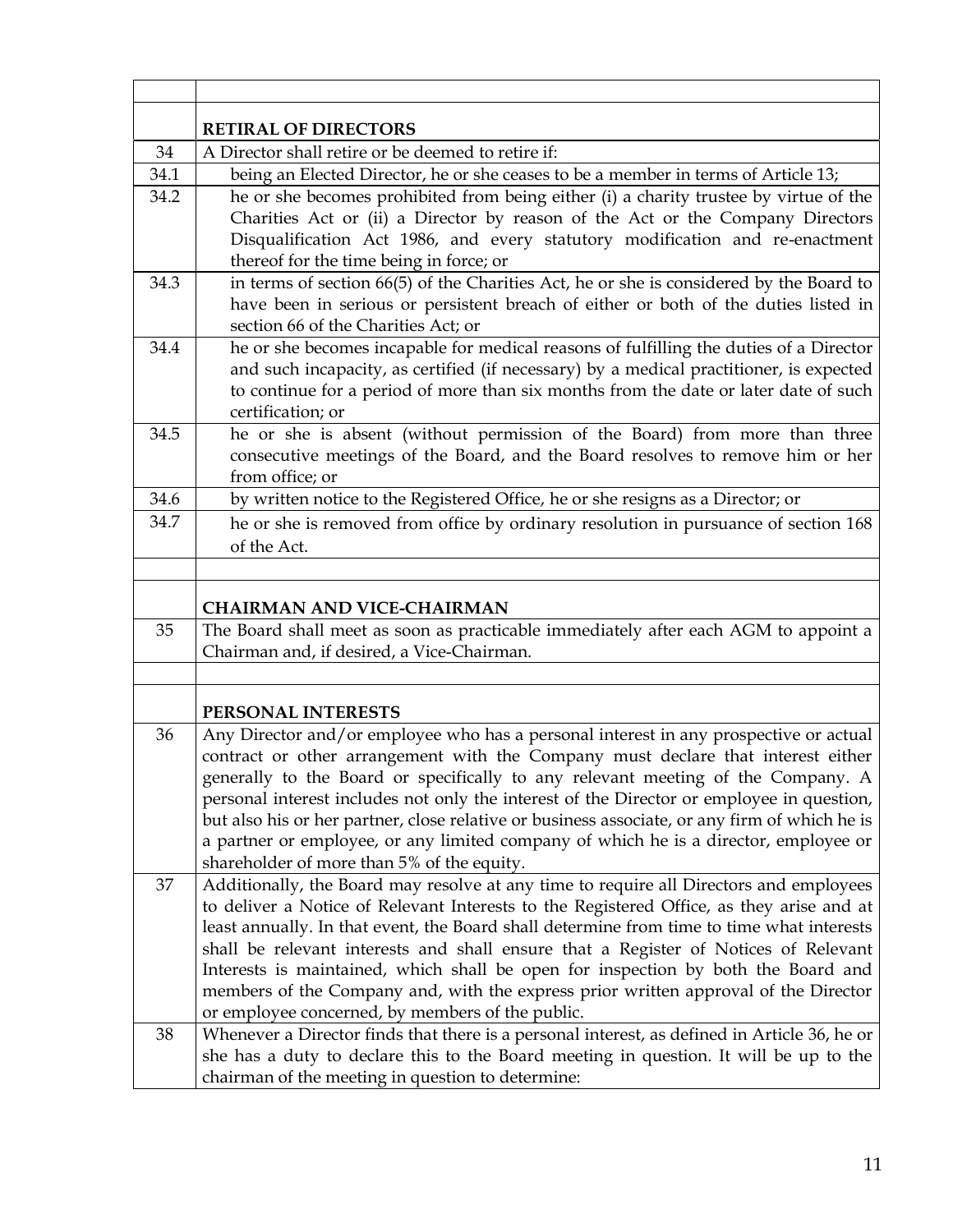|      | <b>RETIRAL OF DIRECTORS</b>                                                                                                                                                                                                                                                                                                                                                                                                                                                                                                                                                                                                                          |
|------|------------------------------------------------------------------------------------------------------------------------------------------------------------------------------------------------------------------------------------------------------------------------------------------------------------------------------------------------------------------------------------------------------------------------------------------------------------------------------------------------------------------------------------------------------------------------------------------------------------------------------------------------------|
| 34   | A Director shall retire or be deemed to retire if:                                                                                                                                                                                                                                                                                                                                                                                                                                                                                                                                                                                                   |
| 34.1 | being an Elected Director, he or she ceases to be a member in terms of Article 13;                                                                                                                                                                                                                                                                                                                                                                                                                                                                                                                                                                   |
| 34.2 | he or she becomes prohibited from being either (i) a charity trustee by virtue of the<br>Charities Act or (ii) a Director by reason of the Act or the Company Directors<br>Disqualification Act 1986, and every statutory modification and re-enactment<br>thereof for the time being in force; or                                                                                                                                                                                                                                                                                                                                                   |
| 34.3 | in terms of section 66(5) of the Charities Act, he or she is considered by the Board to<br>have been in serious or persistent breach of either or both of the duties listed in<br>section 66 of the Charities Act; or                                                                                                                                                                                                                                                                                                                                                                                                                                |
| 34.4 | he or she becomes incapable for medical reasons of fulfilling the duties of a Director<br>and such incapacity, as certified (if necessary) by a medical practitioner, is expected<br>to continue for a period of more than six months from the date or later date of such<br>certification; or                                                                                                                                                                                                                                                                                                                                                       |
| 34.5 | he or she is absent (without permission of the Board) from more than three<br>consecutive meetings of the Board, and the Board resolves to remove him or her<br>from office; or                                                                                                                                                                                                                                                                                                                                                                                                                                                                      |
| 34.6 | by written notice to the Registered Office, he or she resigns as a Director; or                                                                                                                                                                                                                                                                                                                                                                                                                                                                                                                                                                      |
| 34.7 | he or she is removed from office by ordinary resolution in pursuance of section 168<br>of the Act.                                                                                                                                                                                                                                                                                                                                                                                                                                                                                                                                                   |
|      |                                                                                                                                                                                                                                                                                                                                                                                                                                                                                                                                                                                                                                                      |
|      | <b>CHAIRMAN AND VICE-CHAIRMAN</b>                                                                                                                                                                                                                                                                                                                                                                                                                                                                                                                                                                                                                    |
| 35   | The Board shall meet as soon as practicable immediately after each AGM to appoint a<br>Chairman and, if desired, a Vice-Chairman.                                                                                                                                                                                                                                                                                                                                                                                                                                                                                                                    |
|      | PERSONAL INTERESTS                                                                                                                                                                                                                                                                                                                                                                                                                                                                                                                                                                                                                                   |
| 36   | Any Director and/or employee who has a personal interest in any prospective or actual<br>contract or other arrangement with the Company must declare that interest either<br>generally to the Board or specifically to any relevant meeting of the Company. A<br>personal interest includes not only the interest of the Director or employee in question,<br>but also his or her partner, close relative or business associate, or any firm of which he is<br>a partner or employee, or any limited company of which he is a director, employee or                                                                                                  |
| 37   | shareholder of more than 5% of the equity.<br>Additionally, the Board may resolve at any time to require all Directors and employees<br>to deliver a Notice of Relevant Interests to the Registered Office, as they arise and at<br>least annually. In that event, the Board shall determine from time to time what interests<br>shall be relevant interests and shall ensure that a Register of Notices of Relevant<br>Interests is maintained, which shall be open for inspection by both the Board and<br>members of the Company and, with the express prior written approval of the Director<br>or employee concerned, by members of the public. |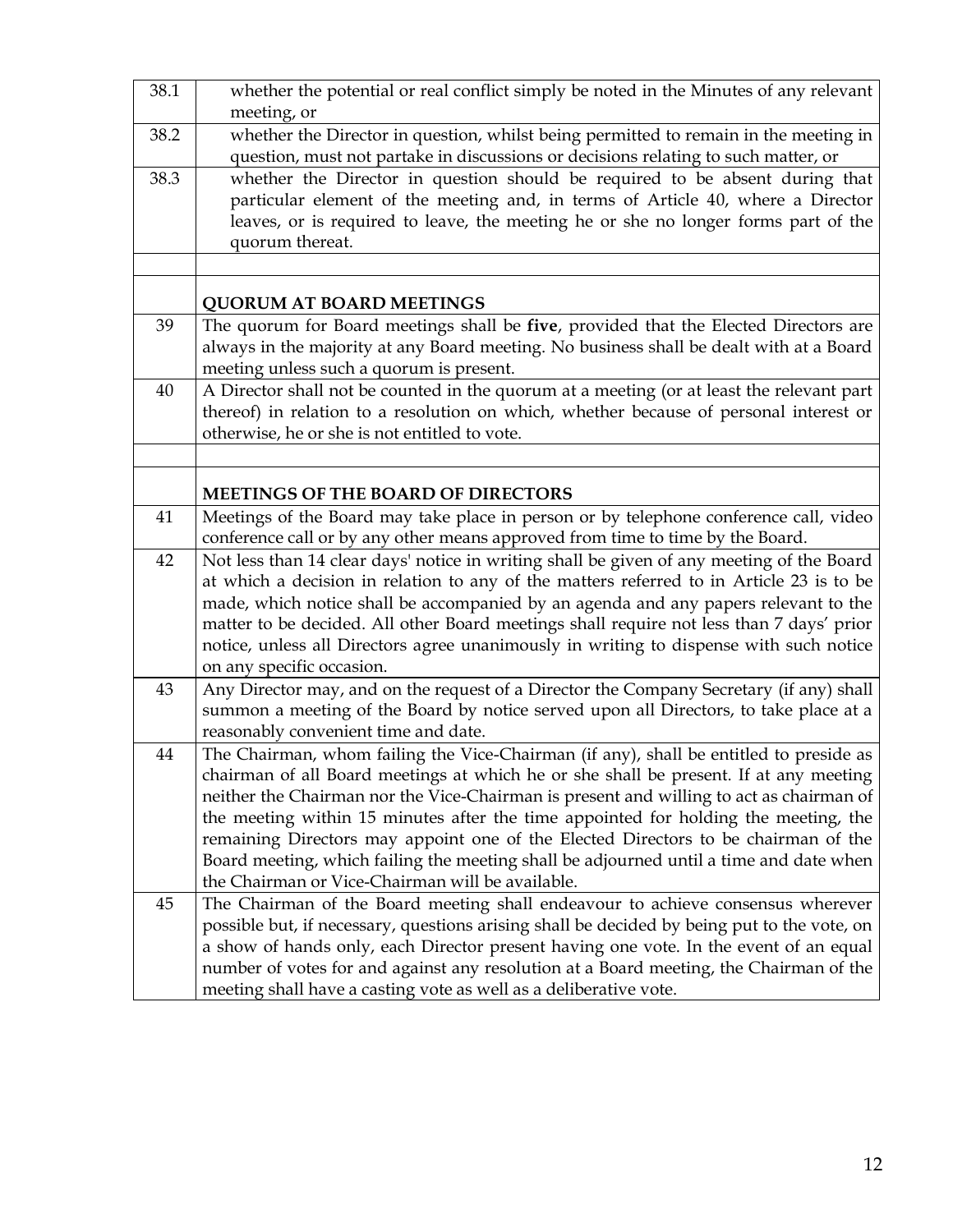| 38.1 | whether the potential or real conflict simply be noted in the Minutes of any relevant<br>meeting, or                                                                                                                                                                                                                                                                                                                                                                                                                                                                                                  |
|------|-------------------------------------------------------------------------------------------------------------------------------------------------------------------------------------------------------------------------------------------------------------------------------------------------------------------------------------------------------------------------------------------------------------------------------------------------------------------------------------------------------------------------------------------------------------------------------------------------------|
| 38.2 | whether the Director in question, whilst being permitted to remain in the meeting in<br>question, must not partake in discussions or decisions relating to such matter, or                                                                                                                                                                                                                                                                                                                                                                                                                            |
| 38.3 | whether the Director in question should be required to be absent during that<br>particular element of the meeting and, in terms of Article 40, where a Director<br>leaves, or is required to leave, the meeting he or she no longer forms part of the<br>quorum thereat.                                                                                                                                                                                                                                                                                                                              |
|      | <b>QUORUM AT BOARD MEETINGS</b>                                                                                                                                                                                                                                                                                                                                                                                                                                                                                                                                                                       |
| 39   | The quorum for Board meetings shall be five, provided that the Elected Directors are<br>always in the majority at any Board meeting. No business shall be dealt with at a Board<br>meeting unless such a quorum is present.                                                                                                                                                                                                                                                                                                                                                                           |
| 40   | A Director shall not be counted in the quorum at a meeting (or at least the relevant part<br>thereof) in relation to a resolution on which, whether because of personal interest or<br>otherwise, he or she is not entitled to vote.                                                                                                                                                                                                                                                                                                                                                                  |
|      |                                                                                                                                                                                                                                                                                                                                                                                                                                                                                                                                                                                                       |
|      | <b>MEETINGS OF THE BOARD OF DIRECTORS</b>                                                                                                                                                                                                                                                                                                                                                                                                                                                                                                                                                             |
| 41   | Meetings of the Board may take place in person or by telephone conference call, video<br>conference call or by any other means approved from time to time by the Board.                                                                                                                                                                                                                                                                                                                                                                                                                               |
| 42   | Not less than 14 clear days' notice in writing shall be given of any meeting of the Board<br>at which a decision in relation to any of the matters referred to in Article 23 is to be<br>made, which notice shall be accompanied by an agenda and any papers relevant to the<br>matter to be decided. All other Board meetings shall require not less than 7 days' prior<br>notice, unless all Directors agree unanimously in writing to dispense with such notice<br>on any specific occasion.                                                                                                       |
| 43   | Any Director may, and on the request of a Director the Company Secretary (if any) shall<br>summon a meeting of the Board by notice served upon all Directors, to take place at a<br>reasonably convenient time and date.                                                                                                                                                                                                                                                                                                                                                                              |
| 44   | The Chairman, whom failing the Vice-Chairman (if any), shall be entitled to preside as<br>chairman of all Board meetings at which he or she shall be present. If at any meeting<br>neither the Chairman nor the Vice-Chairman is present and willing to act as chairman of<br>the meeting within 15 minutes after the time appointed for holding the meeting, the<br>remaining Directors may appoint one of the Elected Directors to be chairman of the<br>Board meeting, which failing the meeting shall be adjourned until a time and date when<br>the Chairman or Vice-Chairman will be available. |
| 45   | The Chairman of the Board meeting shall endeavour to achieve consensus wherever<br>possible but, if necessary, questions arising shall be decided by being put to the vote, on<br>a show of hands only, each Director present having one vote. In the event of an equal<br>number of votes for and against any resolution at a Board meeting, the Chairman of the<br>meeting shall have a casting vote as well as a deliberative vote.                                                                                                                                                                |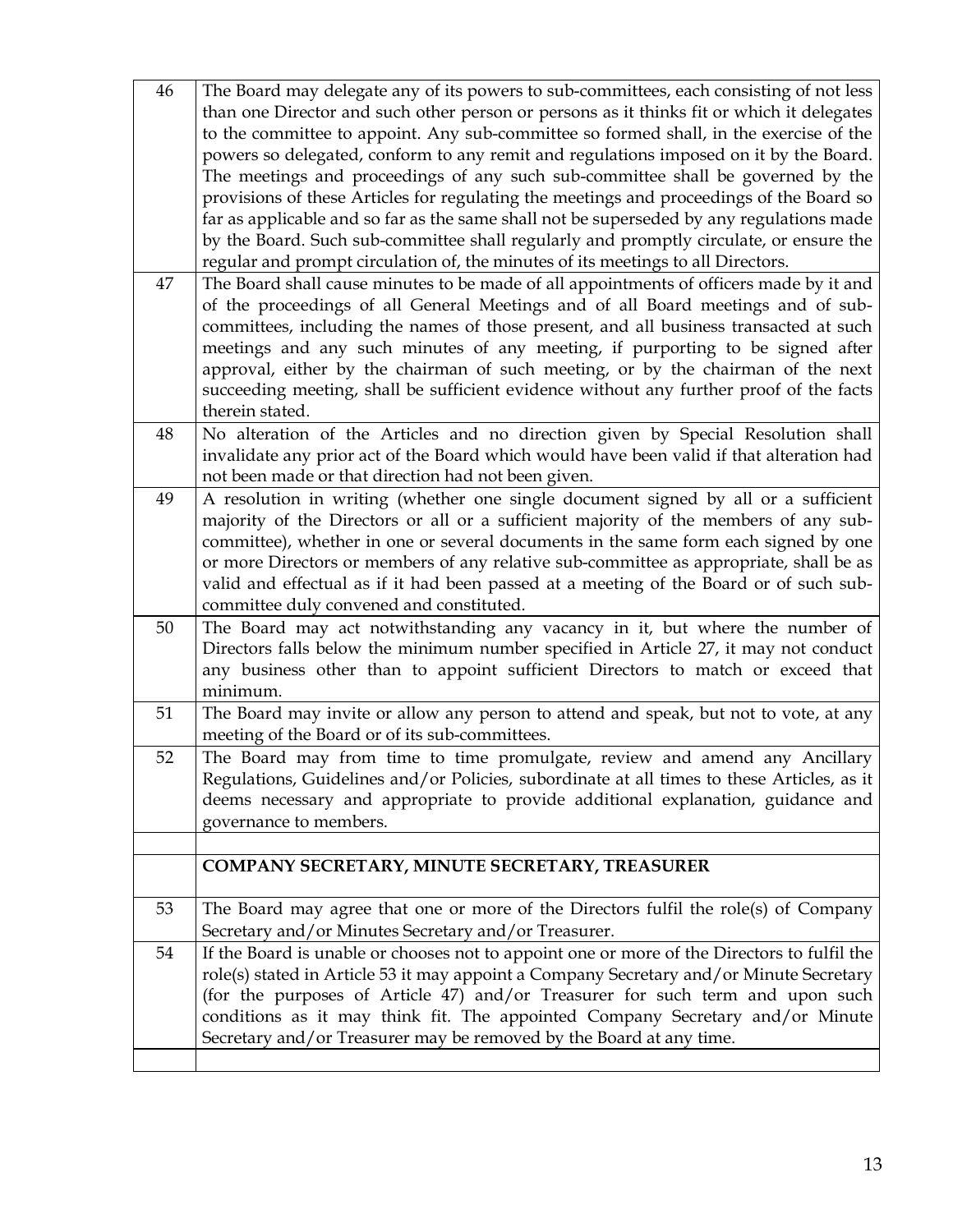| 46 | The Board may delegate any of its powers to sub-committees, each consisting of not less     |
|----|---------------------------------------------------------------------------------------------|
|    | than one Director and such other person or persons as it thinks fit or which it delegates   |
|    | to the committee to appoint. Any sub-committee so formed shall, in the exercise of the      |
|    | powers so delegated, conform to any remit and regulations imposed on it by the Board.       |
|    | The meetings and proceedings of any such sub-committee shall be governed by the             |
|    | provisions of these Articles for regulating the meetings and proceedings of the Board so    |
|    | far as applicable and so far as the same shall not be superseded by any regulations made    |
|    | by the Board. Such sub-committee shall regularly and promptly circulate, or ensure the      |
|    | regular and prompt circulation of, the minutes of its meetings to all Directors.            |
| 47 | The Board shall cause minutes to be made of all appointments of officers made by it and     |
|    | of the proceedings of all General Meetings and of all Board meetings and of sub-            |
|    | committees, including the names of those present, and all business transacted at such       |
|    | meetings and any such minutes of any meeting, if purporting to be signed after              |
|    | approval, either by the chairman of such meeting, or by the chairman of the next            |
|    | succeeding meeting, shall be sufficient evidence without any further proof of the facts     |
|    | therein stated.                                                                             |
| 48 | No alteration of the Articles and no direction given by Special Resolution shall            |
|    | invalidate any prior act of the Board which would have been valid if that alteration had    |
|    | not been made or that direction had not been given.                                         |
| 49 | A resolution in writing (whether one single document signed by all or a sufficient          |
|    | majority of the Directors or all or a sufficient majority of the members of any sub-        |
|    | committee), whether in one or several documents in the same form each signed by one         |
|    | or more Directors or members of any relative sub-committee as appropriate, shall be as      |
|    | valid and effectual as if it had been passed at a meeting of the Board or of such sub-      |
|    | committee duly convened and constituted.                                                    |
| 50 | The Board may act notwithstanding any vacancy in it, but where the number of                |
|    | Directors falls below the minimum number specified in Article 27, it may not conduct        |
|    | any business other than to appoint sufficient Directors to match or exceed that             |
|    | minimum.                                                                                    |
| 51 | The Board may invite or allow any person to attend and speak, but not to vote, at any       |
|    | meeting of the Board or of its sub-committees.                                              |
| 52 | The Board may from time to time promulgate, review and amend any Ancillary                  |
|    | Regulations, Guidelines and/or Policies, subordinate at all times to these Articles, as it  |
|    | deems necessary and appropriate to provide additional explanation, guidance and             |
|    | governance to members.                                                                      |
|    |                                                                                             |
|    | COMPANY SECRETARY, MINUTE SECRETARY, TREASURER                                              |
|    |                                                                                             |
| 53 | The Board may agree that one or more of the Directors fulfil the role(s) of Company         |
|    | Secretary and/or Minutes Secretary and/or Treasurer.                                        |
| 54 | If the Board is unable or chooses not to appoint one or more of the Directors to fulfil the |
|    | role(s) stated in Article 53 it may appoint a Company Secretary and/or Minute Secretary     |
|    | (for the purposes of Article 47) and/or Treasurer for such term and upon such               |
|    | conditions as it may think fit. The appointed Company Secretary and/or Minute               |
|    | Secretary and/or Treasurer may be removed by the Board at any time.                         |
|    |                                                                                             |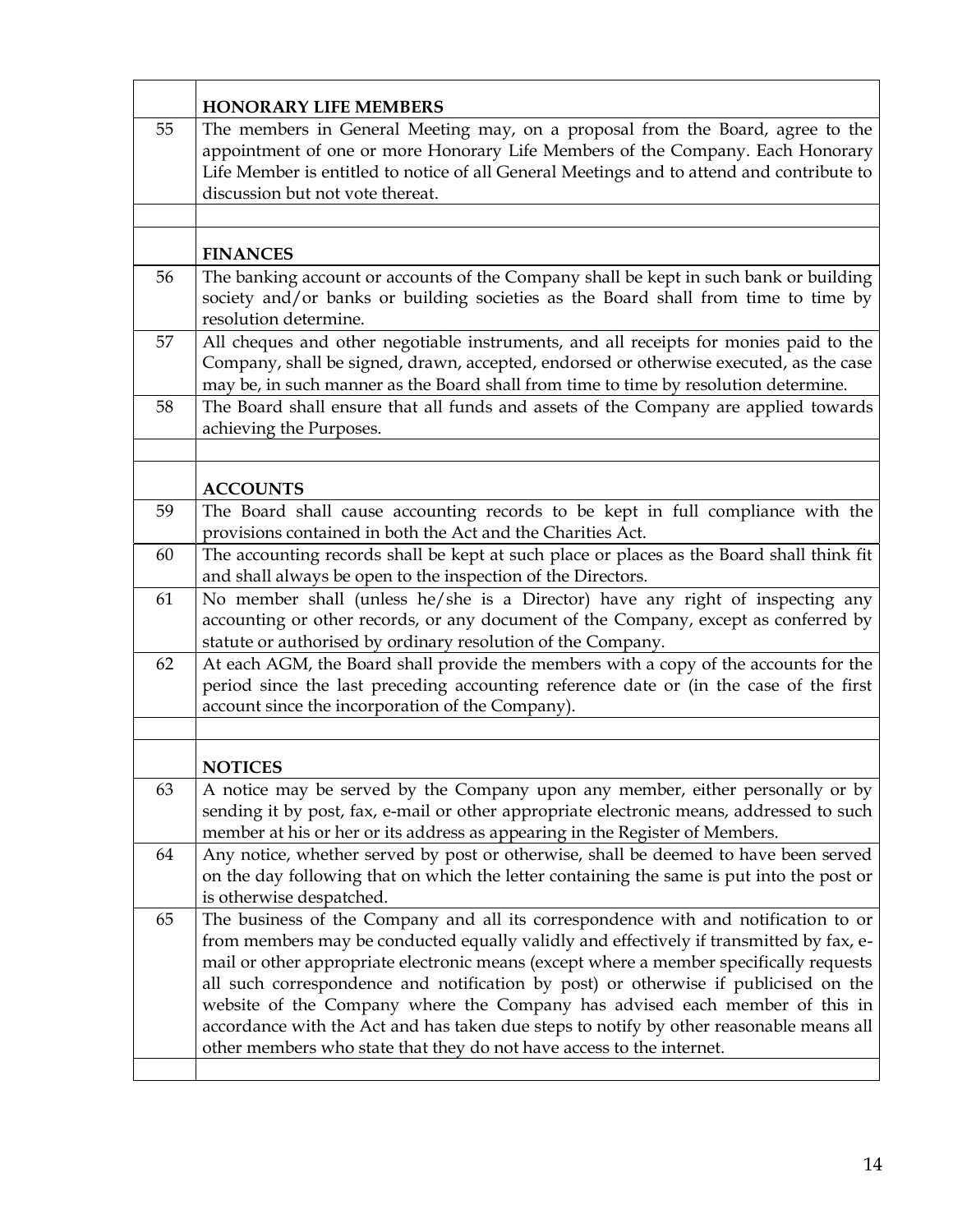|    | <b>HONORARY LIFE MEMBERS</b>                                                                                                                                                                                                                                                                                                                                                                                                                                                                                                                                                                                       |  |
|----|--------------------------------------------------------------------------------------------------------------------------------------------------------------------------------------------------------------------------------------------------------------------------------------------------------------------------------------------------------------------------------------------------------------------------------------------------------------------------------------------------------------------------------------------------------------------------------------------------------------------|--|
| 55 | The members in General Meeting may, on a proposal from the Board, agree to the<br>appointment of one or more Honorary Life Members of the Company. Each Honorary<br>Life Member is entitled to notice of all General Meetings and to attend and contribute to<br>discussion but not vote thereat.                                                                                                                                                                                                                                                                                                                  |  |
|    |                                                                                                                                                                                                                                                                                                                                                                                                                                                                                                                                                                                                                    |  |
|    | <b>FINANCES</b>                                                                                                                                                                                                                                                                                                                                                                                                                                                                                                                                                                                                    |  |
| 56 | The banking account or accounts of the Company shall be kept in such bank or building<br>society and/or banks or building societies as the Board shall from time to time by<br>resolution determine.                                                                                                                                                                                                                                                                                                                                                                                                               |  |
| 57 | All cheques and other negotiable instruments, and all receipts for monies paid to the<br>Company, shall be signed, drawn, accepted, endorsed or otherwise executed, as the case<br>may be, in such manner as the Board shall from time to time by resolution determine.                                                                                                                                                                                                                                                                                                                                            |  |
| 58 | The Board shall ensure that all funds and assets of the Company are applied towards<br>achieving the Purposes.                                                                                                                                                                                                                                                                                                                                                                                                                                                                                                     |  |
|    |                                                                                                                                                                                                                                                                                                                                                                                                                                                                                                                                                                                                                    |  |
|    | <b>ACCOUNTS</b>                                                                                                                                                                                                                                                                                                                                                                                                                                                                                                                                                                                                    |  |
| 59 | The Board shall cause accounting records to be kept in full compliance with the<br>provisions contained in both the Act and the Charities Act.                                                                                                                                                                                                                                                                                                                                                                                                                                                                     |  |
| 60 | The accounting records shall be kept at such place or places as the Board shall think fit<br>and shall always be open to the inspection of the Directors.                                                                                                                                                                                                                                                                                                                                                                                                                                                          |  |
| 61 | No member shall (unless he/she is a Director) have any right of inspecting any<br>accounting or other records, or any document of the Company, except as conferred by<br>statute or authorised by ordinary resolution of the Company.                                                                                                                                                                                                                                                                                                                                                                              |  |
| 62 | At each AGM, the Board shall provide the members with a copy of the accounts for the<br>period since the last preceding accounting reference date or (in the case of the first<br>account since the incorporation of the Company).                                                                                                                                                                                                                                                                                                                                                                                 |  |
|    |                                                                                                                                                                                                                                                                                                                                                                                                                                                                                                                                                                                                                    |  |
|    | <b>NOTICES</b>                                                                                                                                                                                                                                                                                                                                                                                                                                                                                                                                                                                                     |  |
| 63 | A notice may be served by the Company upon any member, either personally or by<br>sending it by post, fax, e-mail or other appropriate electronic means, addressed to such<br>member at his or her or its address as appearing in the Register of Members.                                                                                                                                                                                                                                                                                                                                                         |  |
| 64 | Any notice, whether served by post or otherwise, shall be deemed to have been served<br>on the day following that on which the letter containing the same is put into the post or<br>is otherwise despatched.                                                                                                                                                                                                                                                                                                                                                                                                      |  |
| 65 | The business of the Company and all its correspondence with and notification to or<br>from members may be conducted equally validly and effectively if transmitted by fax, e-<br>mail or other appropriate electronic means (except where a member specifically requests<br>all such correspondence and notification by post) or otherwise if publicised on the<br>website of the Company where the Company has advised each member of this in<br>accordance with the Act and has taken due steps to notify by other reasonable means all<br>other members who state that they do not have access to the internet. |  |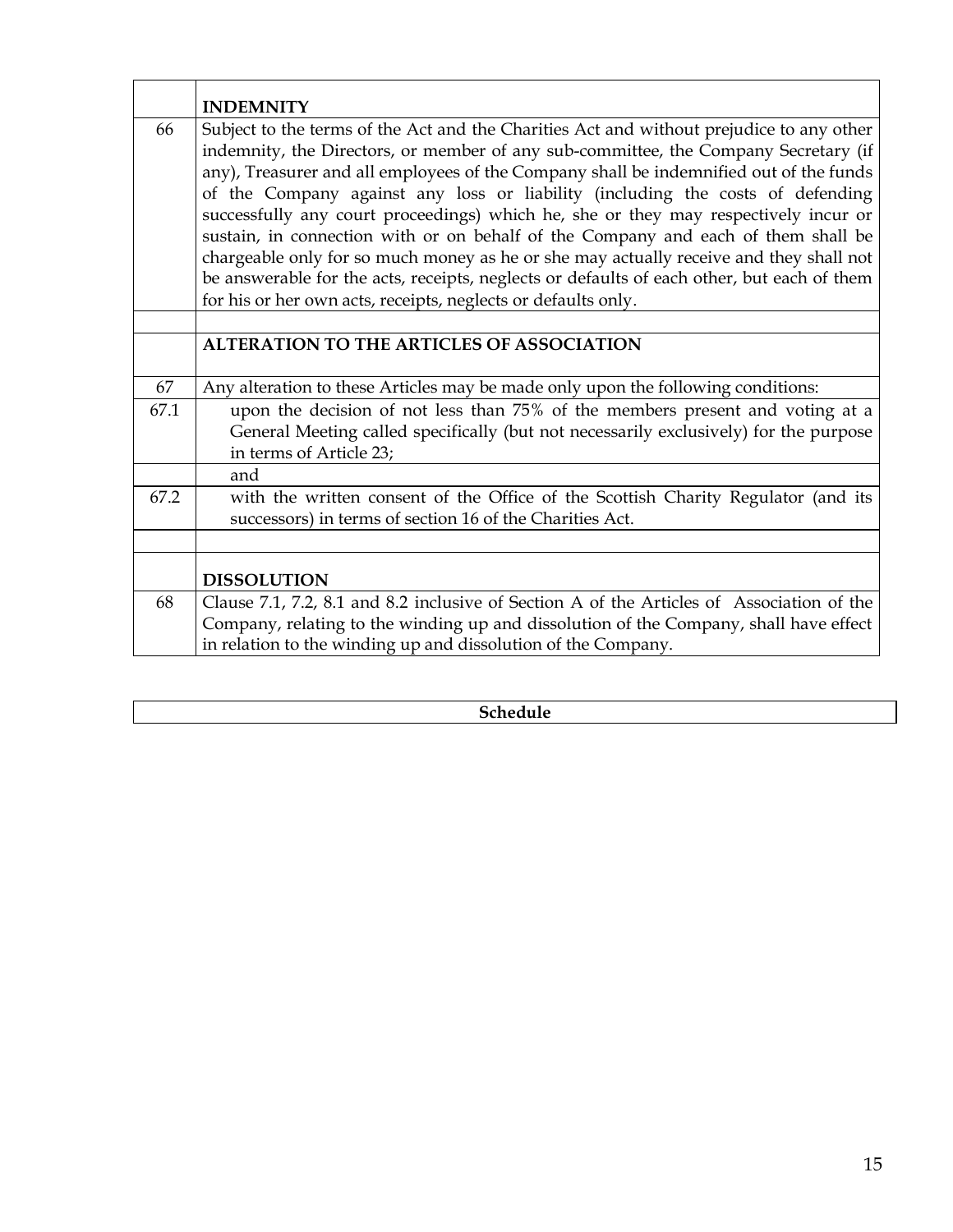|      | <b>INDEMNITY</b>                                                                                                                                                                                                                                                                                                                                                                                                                                                                                                                                                                                                                                                                                                                                                                                 |
|------|--------------------------------------------------------------------------------------------------------------------------------------------------------------------------------------------------------------------------------------------------------------------------------------------------------------------------------------------------------------------------------------------------------------------------------------------------------------------------------------------------------------------------------------------------------------------------------------------------------------------------------------------------------------------------------------------------------------------------------------------------------------------------------------------------|
| 66   | Subject to the terms of the Act and the Charities Act and without prejudice to any other<br>indemnity, the Directors, or member of any sub-committee, the Company Secretary (if<br>any), Treasurer and all employees of the Company shall be indemnified out of the funds<br>of the Company against any loss or liability (including the costs of defending<br>successfully any court proceedings) which he, she or they may respectively incur or<br>sustain, in connection with or on behalf of the Company and each of them shall be<br>chargeable only for so much money as he or she may actually receive and they shall not<br>be answerable for the acts, receipts, neglects or defaults of each other, but each of them<br>for his or her own acts, receipts, neglects or defaults only. |
|      | <b>ALTERATION TO THE ARTICLES OF ASSOCIATION</b>                                                                                                                                                                                                                                                                                                                                                                                                                                                                                                                                                                                                                                                                                                                                                 |
| 67   | Any alteration to these Articles may be made only upon the following conditions:                                                                                                                                                                                                                                                                                                                                                                                                                                                                                                                                                                                                                                                                                                                 |
| 67.1 | upon the decision of not less than 75% of the members present and voting at a<br>General Meeting called specifically (but not necessarily exclusively) for the purpose<br>in terms of Article 23;                                                                                                                                                                                                                                                                                                                                                                                                                                                                                                                                                                                                |
|      | and                                                                                                                                                                                                                                                                                                                                                                                                                                                                                                                                                                                                                                                                                                                                                                                              |
| 67.2 | with the written consent of the Office of the Scottish Charity Regulator (and its<br>successors) in terms of section 16 of the Charities Act.                                                                                                                                                                                                                                                                                                                                                                                                                                                                                                                                                                                                                                                    |
|      | <b>DISSOLUTION</b>                                                                                                                                                                                                                                                                                                                                                                                                                                                                                                                                                                                                                                                                                                                                                                               |
| 68   | Clause 7.1, 7.2, 8.1 and 8.2 inclusive of Section A of the Articles of Association of the<br>Company, relating to the winding up and dissolution of the Company, shall have effect<br>in relation to the winding up and dissolution of the Company.                                                                                                                                                                                                                                                                                                                                                                                                                                                                                                                                              |